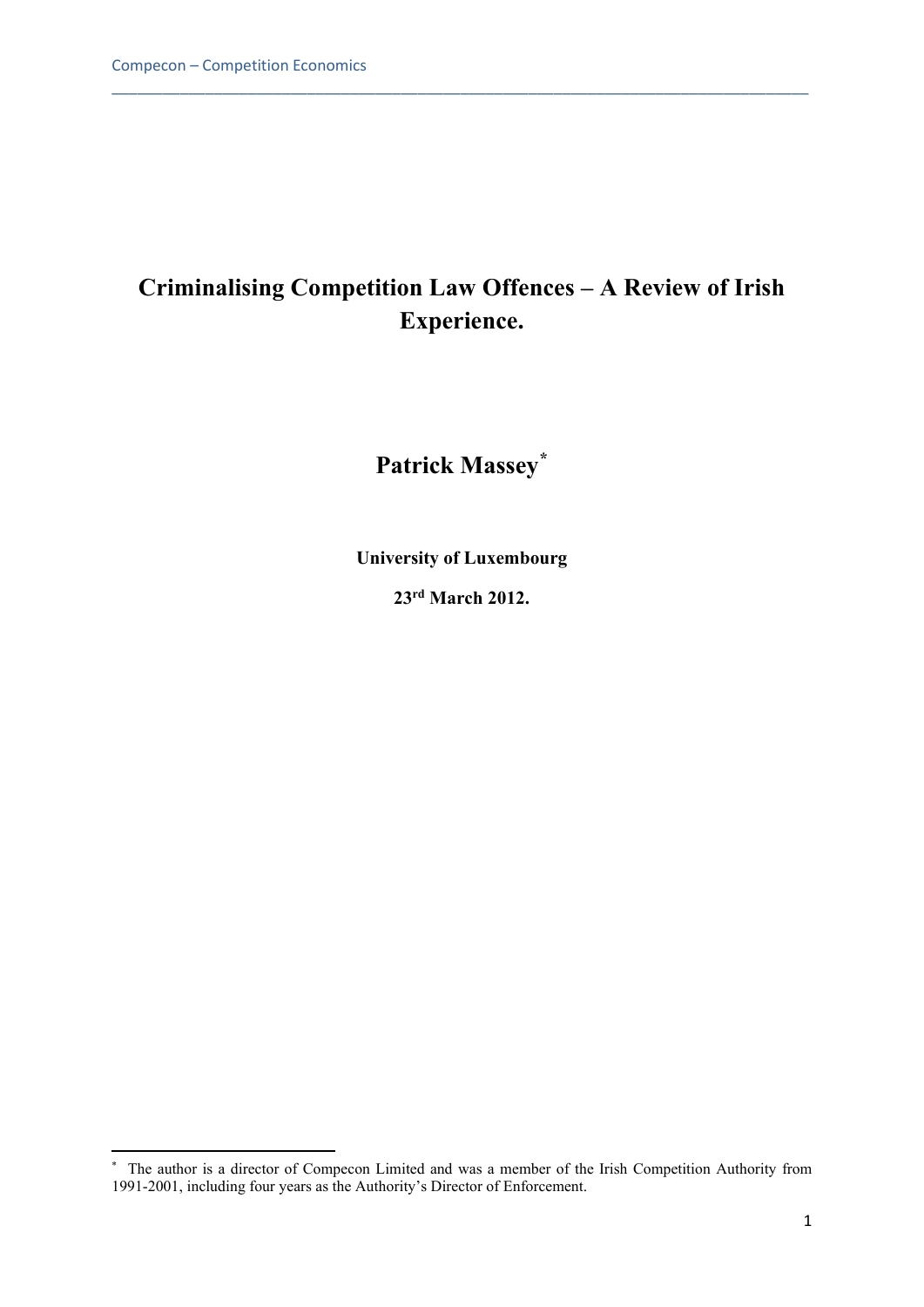# **Criminalising Competition Law Offences – A Review of Irish Experience.**

\_\_\_\_\_\_\_\_\_\_\_\_\_\_\_\_\_\_\_\_\_\_\_\_\_\_\_\_\_\_\_\_\_\_\_\_\_\_\_\_\_\_\_\_\_\_\_\_\_\_\_\_\_\_\_\_\_\_\_\_\_\_\_\_\_\_\_\_\_\_\_\_\_\_\_\_\_\_\_\_\_\_

**Patrick Massey[\\*](#page-0-0)**

**University of Luxembourg**

**23rd March 2012.**

<span id="page-0-0"></span><sup>\*</sup> The author is a director of Compecon Limited and was a member of the Irish Competition Authority from 1991-2001, including four years as the Authority's Director of Enforcement.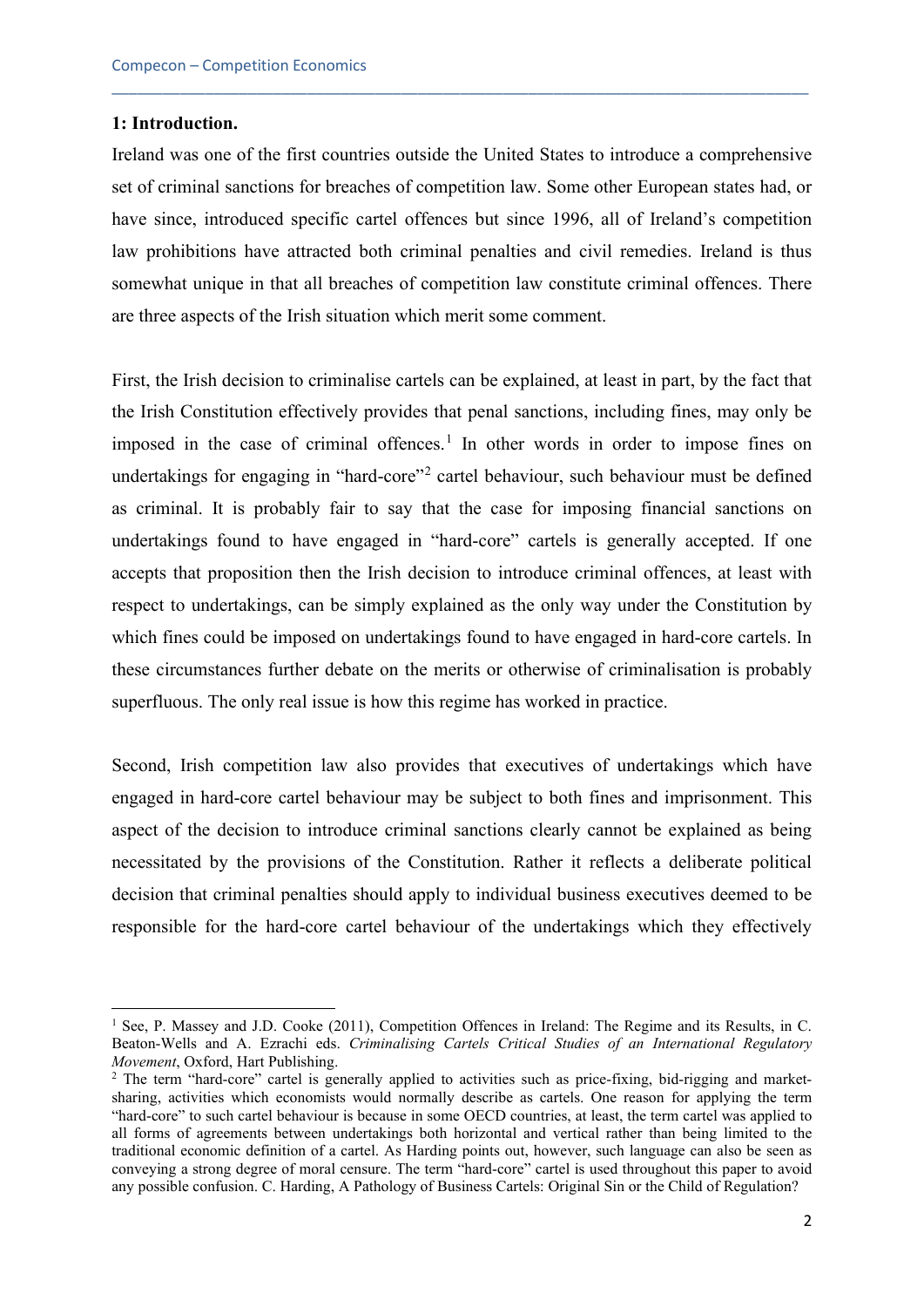### **1: Introduction.**

Ireland was one of the first countries outside the United States to introduce a comprehensive set of criminal sanctions for breaches of competition law. Some other European states had, or have since, introduced specific cartel offences but since 1996, all of Ireland's competition law prohibitions have attracted both criminal penalties and civil remedies. Ireland is thus somewhat unique in that all breaches of competition law constitute criminal offences. There are three aspects of the Irish situation which merit some comment.

\_\_\_\_\_\_\_\_\_\_\_\_\_\_\_\_\_\_\_\_\_\_\_\_\_\_\_\_\_\_\_\_\_\_\_\_\_\_\_\_\_\_\_\_\_\_\_\_\_\_\_\_\_\_\_\_\_\_\_\_\_\_\_\_\_\_\_\_\_\_\_\_\_\_\_\_\_\_\_\_\_\_

First, the Irish decision to criminalise cartels can be explained, at least in part, by the fact that the Irish Constitution effectively provides that penal sanctions, including fines, may only be imposed in the case of criminal offences.<sup>[1](#page-1-0)</sup> In other words in order to impose fines on undertakings for engaging in "hard-core"<sup>[2](#page-1-1)</sup> cartel behaviour, such behaviour must be defined as criminal. It is probably fair to say that the case for imposing financial sanctions on undertakings found to have engaged in "hard-core" cartels is generally accepted. If one accepts that proposition then the Irish decision to introduce criminal offences, at least with respect to undertakings, can be simply explained as the only way under the Constitution by which fines could be imposed on undertakings found to have engaged in hard-core cartels. In these circumstances further debate on the merits or otherwise of criminalisation is probably superfluous. The only real issue is how this regime has worked in practice.

Second, Irish competition law also provides that executives of undertakings which have engaged in hard-core cartel behaviour may be subject to both fines and imprisonment. This aspect of the decision to introduce criminal sanctions clearly cannot be explained as being necessitated by the provisions of the Constitution. Rather it reflects a deliberate political decision that criminal penalties should apply to individual business executives deemed to be responsible for the hard-core cartel behaviour of the undertakings which they effectively

<span id="page-1-0"></span><sup>&</sup>lt;sup>1</sup> See, P. Massey and J.D. Cooke (2011), Competition Offences in Ireland: The Regime and its Results, in C. Beaton-Wells and A. Ezrachi eds. *Criminalising Cartels Critical Studies of an International Regulatory Movement*, Oxford, Hart Publishing.

<span id="page-1-1"></span><sup>&</sup>lt;sup>2</sup> The term "hard-core" cartel is generally applied to activities such as price-fixing, bid-rigging and marketsharing, activities which economists would normally describe as cartels. One reason for applying the term "hard-core" to such cartel behaviour is because in some OECD countries, at least, the term cartel was applied to all forms of agreements between undertakings both horizontal and vertical rather than being limited to the traditional economic definition of a cartel. As Harding points out, however, such language can also be seen as conveying a strong degree of moral censure. The term "hard-core" cartel is used throughout this paper to avoid any possible confusion. C. Harding, A Pathology of Business Cartels: Original Sin or the Child of Regulation?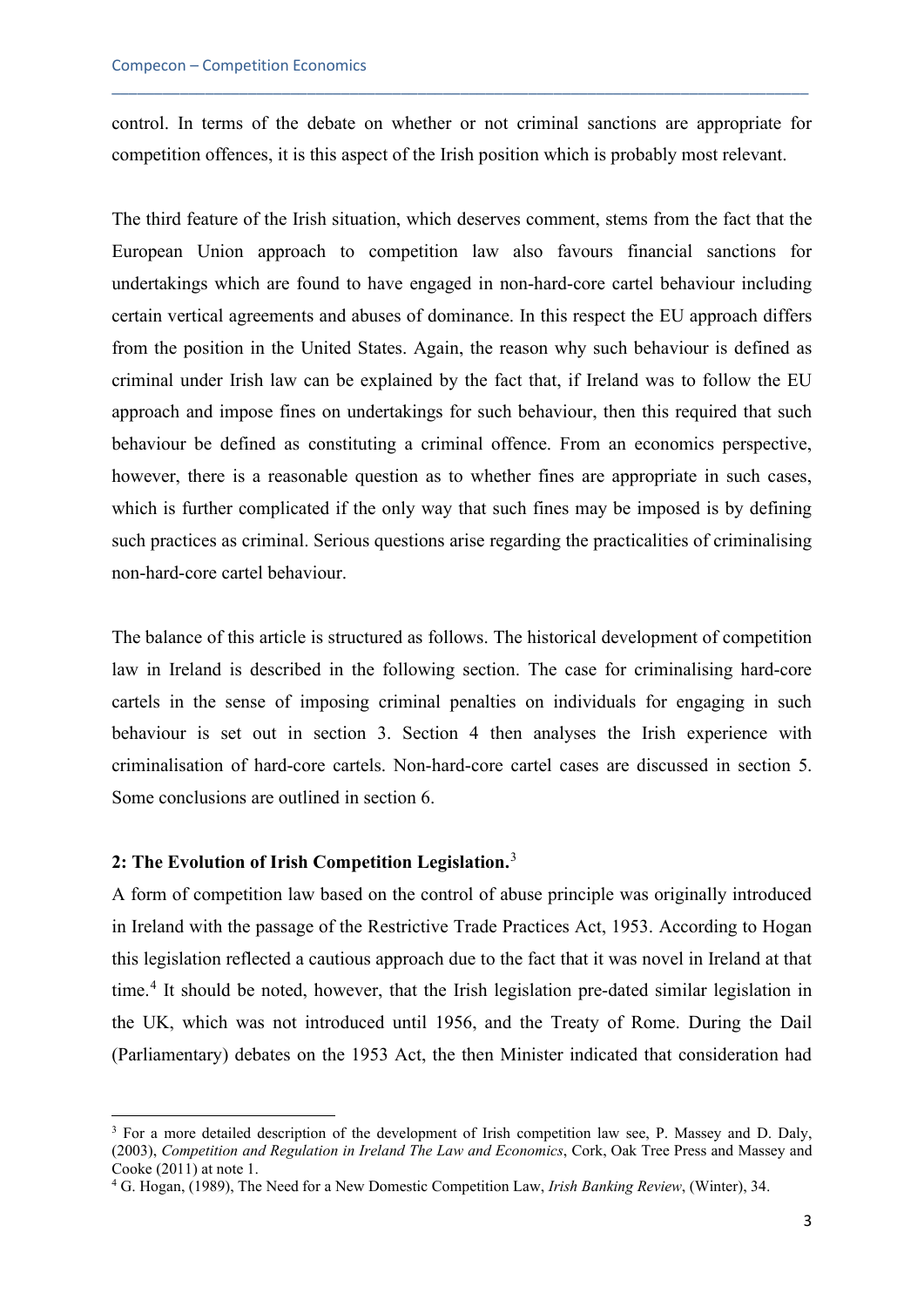control. In terms of the debate on whether or not criminal sanctions are appropriate for competition offences, it is this aspect of the Irish position which is probably most relevant.

\_\_\_\_\_\_\_\_\_\_\_\_\_\_\_\_\_\_\_\_\_\_\_\_\_\_\_\_\_\_\_\_\_\_\_\_\_\_\_\_\_\_\_\_\_\_\_\_\_\_\_\_\_\_\_\_\_\_\_\_\_\_\_\_\_\_\_\_\_\_\_\_\_\_\_\_\_\_\_\_\_\_

The third feature of the Irish situation, which deserves comment, stems from the fact that the European Union approach to competition law also favours financial sanctions for undertakings which are found to have engaged in non-hard-core cartel behaviour including certain vertical agreements and abuses of dominance. In this respect the EU approach differs from the position in the United States. Again, the reason why such behaviour is defined as criminal under Irish law can be explained by the fact that, if Ireland was to follow the EU approach and impose fines on undertakings for such behaviour, then this required that such behaviour be defined as constituting a criminal offence. From an economics perspective, however, there is a reasonable question as to whether fines are appropriate in such cases, which is further complicated if the only way that such fines may be imposed is by defining such practices as criminal. Serious questions arise regarding the practicalities of criminalising non-hard-core cartel behaviour.

The balance of this article is structured as follows. The historical development of competition law in Ireland is described in the following section. The case for criminalising hard-core cartels in the sense of imposing criminal penalties on individuals for engaging in such behaviour is set out in section 3. Section 4 then analyses the Irish experience with criminalisation of hard-core cartels. Non-hard-core cartel cases are discussed in section 5. Some conclusions are outlined in section 6.

# **2: The Evolution of Irish Competition Legislation.**[3](#page-2-0)

A form of competition law based on the control of abuse principle was originally introduced in Ireland with the passage of the Restrictive Trade Practices Act, 1953. According to Hogan this legislation reflected a cautious approach due to the fact that it was novel in Ireland at that time.[4](#page-2-1) It should be noted, however, that the Irish legislation pre-dated similar legislation in the UK, which was not introduced until 1956, and the Treaty of Rome. During the Dail (Parliamentary) debates on the 1953 Act, the then Minister indicated that consideration had

<span id="page-2-0"></span><sup>&</sup>lt;sup>3</sup> For a more detailed description of the development of Irish competition law see, P. Massey and D. Daly, (2003), *Competition and Regulation in Ireland The Law and Economics*, Cork, Oak Tree Press and Massey and Cooke (2011) at note 1.

<span id="page-2-1"></span><sup>4</sup> G. Hogan, (1989), The Need for a New Domestic Competition Law, *Irish Banking Review*, (Winter), 34.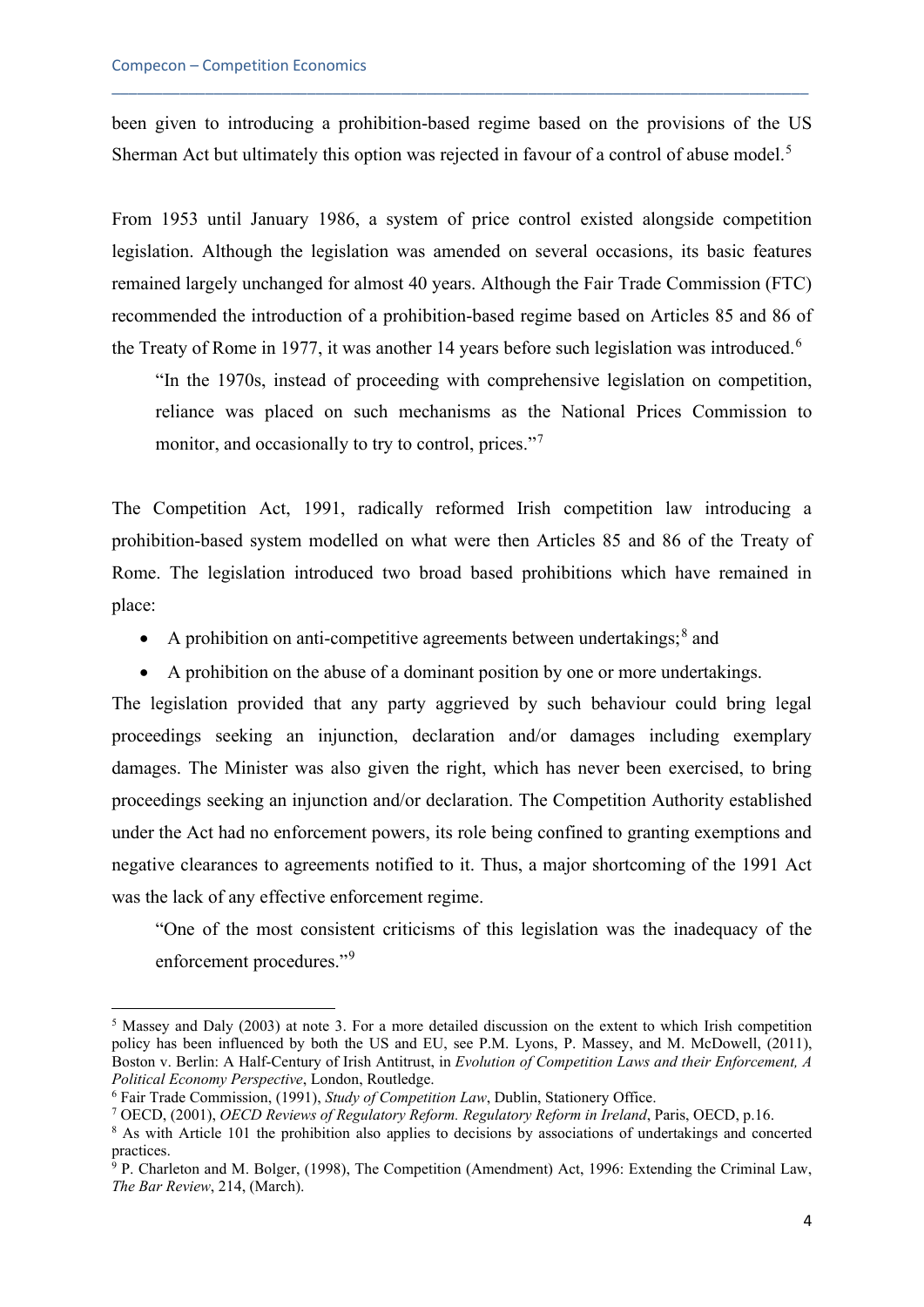been given to introducing a prohibition-based regime based on the provisions of the US Sherman Act but ultimately this option was rejected in favour of a control of abuse model.<sup>[5](#page-3-0)</sup>

\_\_\_\_\_\_\_\_\_\_\_\_\_\_\_\_\_\_\_\_\_\_\_\_\_\_\_\_\_\_\_\_\_\_\_\_\_\_\_\_\_\_\_\_\_\_\_\_\_\_\_\_\_\_\_\_\_\_\_\_\_\_\_\_\_\_\_\_\_\_\_\_\_\_\_\_\_\_\_\_\_\_

From 1953 until January 1986, a system of price control existed alongside competition legislation. Although the legislation was amended on several occasions, its basic features remained largely unchanged for almost 40 years. Although the Fair Trade Commission (FTC) recommended the introduction of a prohibition-based regime based on Articles 85 and 86 of the Treaty of Rome in 1977, it was another 14 years before such legislation was introduced.<sup>[6](#page-3-1)</sup>

"In the 1970s, instead of proceeding with comprehensive legislation on competition, reliance was placed on such mechanisms as the National Prices Commission to monitor, and occasionally to try to control, prices."[7](#page-3-2)

The Competition Act, 1991, radically reformed Irish competition law introducing a prohibition-based system modelled on what were then Articles 85 and 86 of the Treaty of Rome. The legislation introduced two broad based prohibitions which have remained in place:

- A prohibition on anti-competitive agreements between undertakings;  $8$  and
- A prohibition on the abuse of a dominant position by one or more undertakings.

The legislation provided that any party aggrieved by such behaviour could bring legal proceedings seeking an injunction, declaration and/or damages including exemplary damages. The Minister was also given the right, which has never been exercised, to bring proceedings seeking an injunction and/or declaration. The Competition Authority established under the Act had no enforcement powers, its role being confined to granting exemptions and negative clearances to agreements notified to it. Thus, a major shortcoming of the 1991 Act was the lack of any effective enforcement regime.

"One of the most consistent criticisms of this legislation was the inadequacy of the enforcement procedures."<sup>[9](#page-3-4)</sup>

<span id="page-3-0"></span><sup>5</sup> Massey and Daly (2003) at note 3. For a more detailed discussion on the extent to which Irish competition policy has been influenced by both the US and EU, see P.M. Lyons, P. Massey, and M. McDowell, (2011), Boston v. Berlin: A Half-Century of Irish Antitrust, in *Evolution of Competition Laws and their Enforcement, A Political Economy Perspective*, London, Routledge.

<span id="page-3-1"></span><sup>6</sup> Fair Trade Commission, (1991), *Study of Competition Law*, Dublin, Stationery Office.

<span id="page-3-2"></span><sup>7</sup> OECD, (2001), *OECD Reviews of Regulatory Reform. Regulatory Reform in Ireland*, Paris, OECD, p.16.

<span id="page-3-3"></span><sup>&</sup>lt;sup>8</sup> As with Article 101 the prohibition also applies to decisions by associations of undertakings and concerted practices.

<span id="page-3-4"></span><sup>&</sup>lt;sup>9</sup> P. Charleton and M. Bolger, (1998), The Competition (Amendment) Act, 1996: Extending the Criminal Law, *The Bar Review*, 214, (March).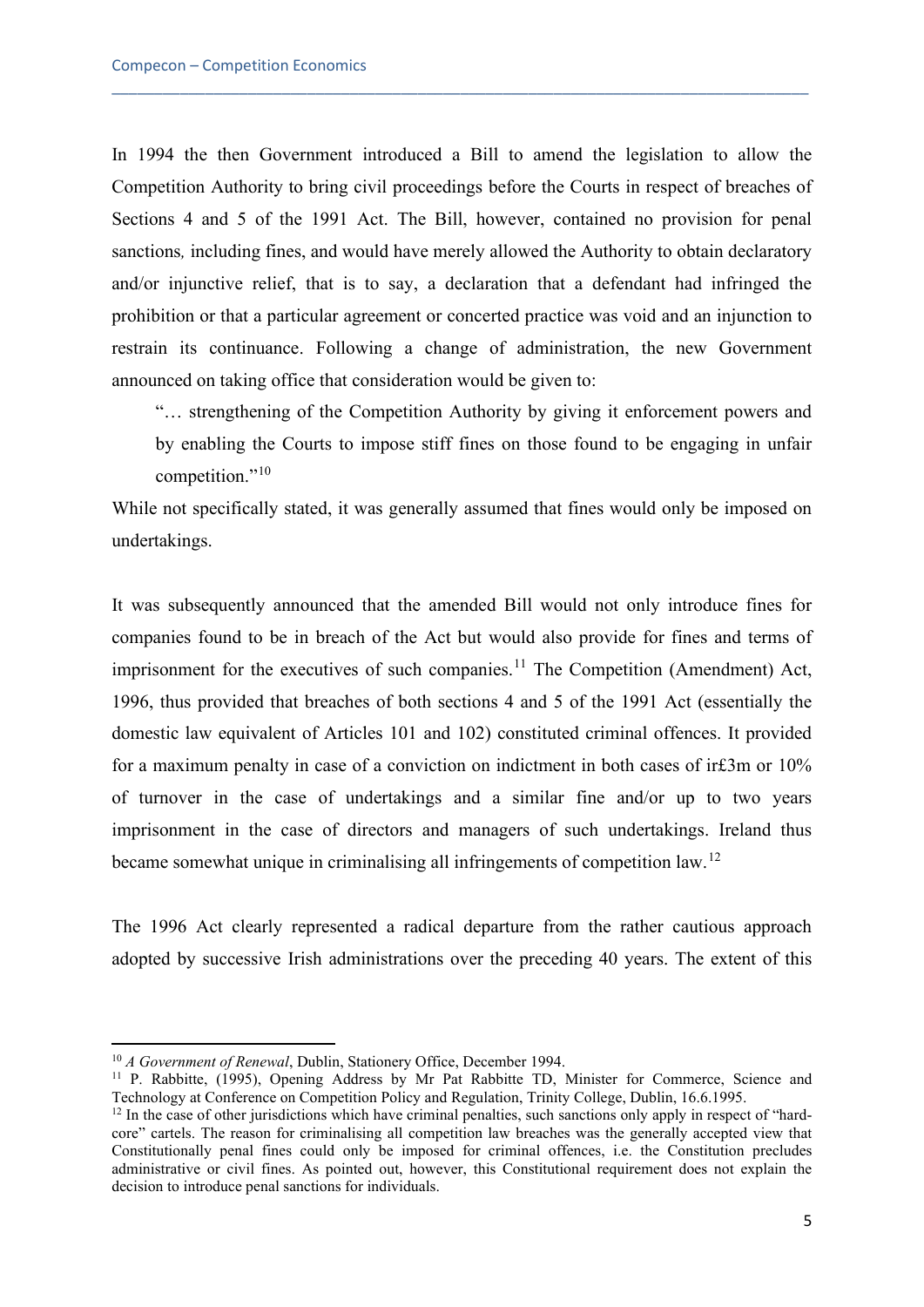In 1994 the then Government introduced a Bill to amend the legislation to allow the Competition Authority to bring civil proceedings before the Courts in respect of breaches of Sections 4 and 5 of the 1991 Act. The Bill, however, contained no provision for penal sanctions, including fines, and would have merely allowed the Authority to obtain declaratory and/or injunctive relief, that is to say, a declaration that a defendant had infringed the prohibition or that a particular agreement or concerted practice was void and an injunction to restrain its continuance. Following a change of administration, the new Government announced on taking office that consideration would be given to:

\_\_\_\_\_\_\_\_\_\_\_\_\_\_\_\_\_\_\_\_\_\_\_\_\_\_\_\_\_\_\_\_\_\_\_\_\_\_\_\_\_\_\_\_\_\_\_\_\_\_\_\_\_\_\_\_\_\_\_\_\_\_\_\_\_\_\_\_\_\_\_\_\_\_\_\_\_\_\_\_\_\_

"… strengthening of the Competition Authority by giving it enforcement powers and by enabling the Courts to impose stiff fines on those found to be engaging in unfair competition."<sup>[10](#page-4-0)</sup>

While not specifically stated, it was generally assumed that fines would only be imposed on undertakings.

It was subsequently announced that the amended Bill would not only introduce fines for companies found to be in breach of the Act but would also provide for fines and terms of imprisonment for the executives of such companies.<sup>[11](#page-4-1)</sup> The Competition (Amendment) Act, 1996, thus provided that breaches of both sections 4 and 5 of the 1991 Act (essentially the domestic law equivalent of Articles 101 and 102) constituted criminal offences. It provided for a maximum penalty in case of a conviction on indictment in both cases of ir£3m or 10% of turnover in the case of undertakings and a similar fine and/or up to two years imprisonment in the case of directors and managers of such undertakings. Ireland thus became somewhat unique in criminalising all infringements of competition law.[12](#page-4-2)

The 1996 Act clearly represented a radical departure from the rather cautious approach adopted by successive Irish administrations over the preceding 40 years. The extent of this

<sup>10</sup> *A Government of Renewal*, Dublin, Stationery Office, December 1994.

<span id="page-4-1"></span><span id="page-4-0"></span><sup>&</sup>lt;sup>11</sup> P. Rabbitte, (1995), Opening Address by Mr Pat Rabbitte TD, Minister for Commerce, Science and Technology at Conference on Competition Policy and Regulation, Trinity College, Dublin, 16.6.1995.

<span id="page-4-2"></span> $12$  In the case of other jurisdictions which have criminal penalties, such sanctions only apply in respect of "hardcore" cartels. The reason for criminalising all competition law breaches was the generally accepted view that Constitutionally penal fines could only be imposed for criminal offences, i.e. the Constitution precludes administrative or civil fines. As pointed out, however, this Constitutional requirement does not explain the decision to introduce penal sanctions for individuals.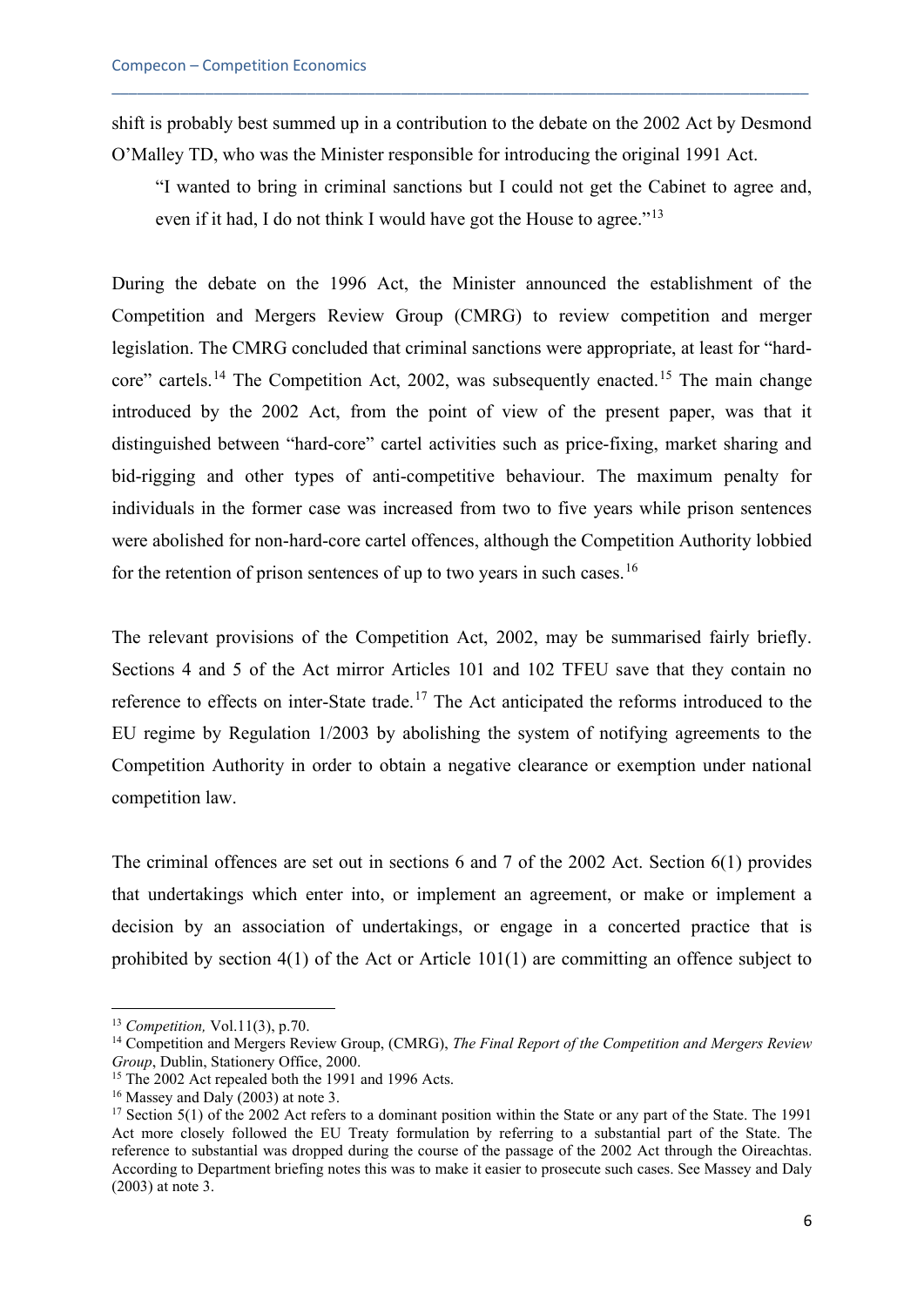shift is probably best summed up in a contribution to the debate on the 2002 Act by Desmond O'Malley TD, who was the Minister responsible for introducing the original 1991 Act.

\_\_\_\_\_\_\_\_\_\_\_\_\_\_\_\_\_\_\_\_\_\_\_\_\_\_\_\_\_\_\_\_\_\_\_\_\_\_\_\_\_\_\_\_\_\_\_\_\_\_\_\_\_\_\_\_\_\_\_\_\_\_\_\_\_\_\_\_\_\_\_\_\_\_\_\_\_\_\_\_\_\_

"I wanted to bring in criminal sanctions but I could not get the Cabinet to agree and, even if it had, I do not think I would have got the House to agree."<sup>[13](#page-5-0)</sup>

During the debate on the 1996 Act, the Minister announced the establishment of the Competition and Mergers Review Group (CMRG) to review competition and merger legislation. The CMRG concluded that criminal sanctions were appropriate, at least for "hard-core" cartels.<sup>[14](#page-5-1)</sup> The Competition Act, 2002, was subsequently enacted.<sup>[15](#page-5-2)</sup> The main change introduced by the 2002 Act, from the point of view of the present paper, was that it distinguished between "hard-core" cartel activities such as price-fixing, market sharing and bid-rigging and other types of anti-competitive behaviour. The maximum penalty for individuals in the former case was increased from two to five years while prison sentences were abolished for non-hard-core cartel offences, although the Competition Authority lobbied for the retention of prison sentences of up to two years in such cases.<sup>[16](#page-5-3)</sup>

The relevant provisions of the Competition Act, 2002, may be summarised fairly briefly. Sections 4 and 5 of the Act mirror Articles 101 and 102 TFEU save that they contain no reference to effects on inter-State trade.<sup>[17](#page-5-4)</sup> The Act anticipated the reforms introduced to the EU regime by Regulation 1/2003 by abolishing the system of notifying agreements to the Competition Authority in order to obtain a negative clearance or exemption under national competition law.

The criminal offences are set out in sections 6 and 7 of the 2002 Act. Section 6(1) provides that undertakings which enter into, or implement an agreement, or make or implement a decision by an association of undertakings, or engage in a concerted practice that is prohibited by section 4(1) of the Act or Article 101(1) are committing an offence subject to

<span id="page-5-0"></span><sup>13</sup> *Competition,* Vol.11(3), p.70.

<span id="page-5-1"></span><sup>14</sup> Competition and Mergers Review Group, (CMRG), *The Final Report of the Competition and Mergers Review Group*, Dublin, Stationery Office, 2000.

<sup>&</sup>lt;sup>15</sup> The 2002 Act repealed both the 1991 and 1996 Acts.

<span id="page-5-3"></span><span id="page-5-2"></span> $16$  Massey and Daly (2003) at note 3.

<span id="page-5-4"></span> $17$  Section 5(1) of the 2002 Act refers to a dominant position within the State or any part of the State. The 1991 Act more closely followed the EU Treaty formulation by referring to a substantial part of the State. The reference to substantial was dropped during the course of the passage of the 2002 Act through the Oireachtas. According to Department briefing notes this was to make it easier to prosecute such cases. See Massey and Daly (2003) at note 3.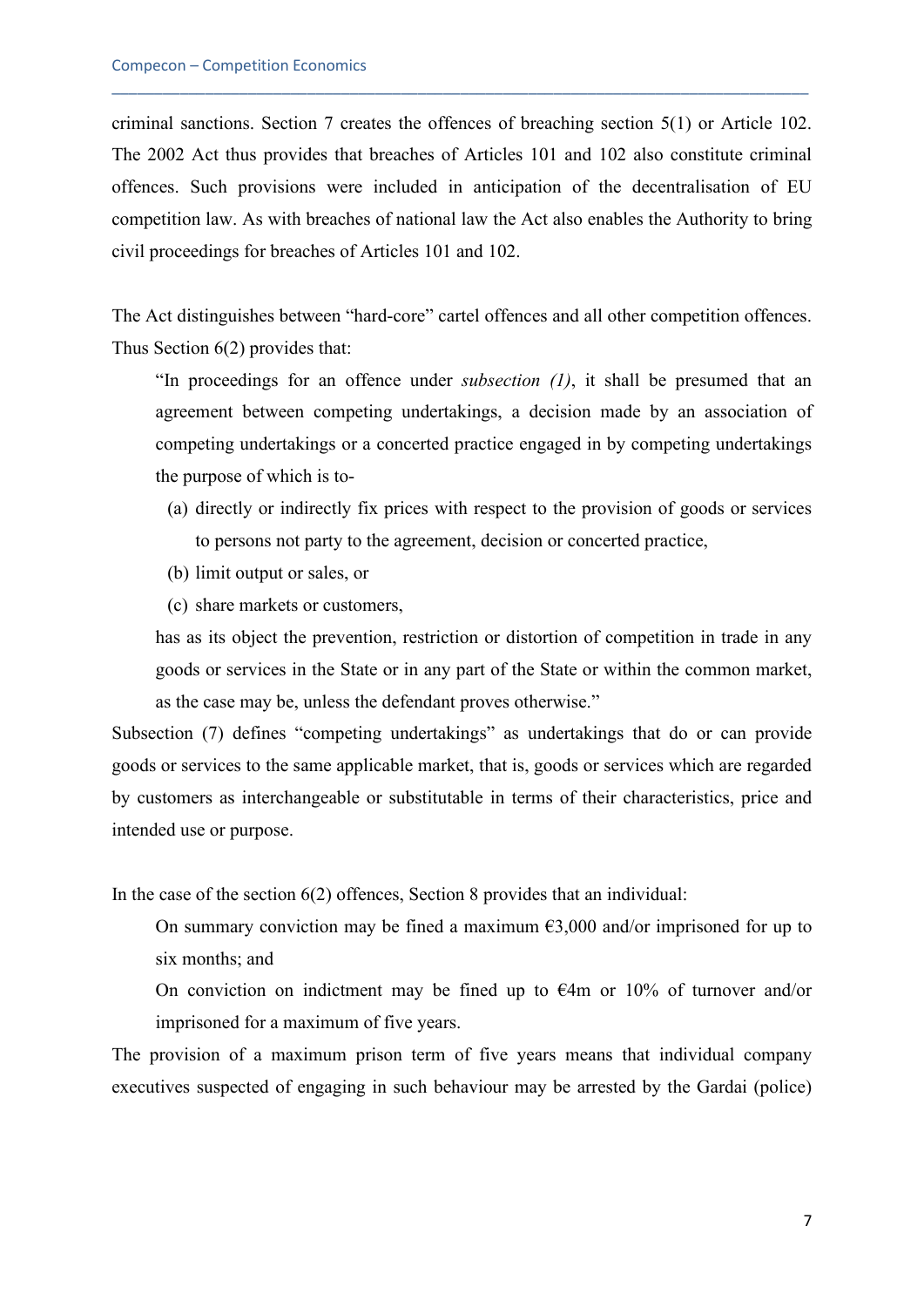criminal sanctions. Section 7 creates the offences of breaching section 5(1) or Article 102. The 2002 Act thus provides that breaches of Articles 101 and 102 also constitute criminal offences. Such provisions were included in anticipation of the decentralisation of EU competition law. As with breaches of national law the Act also enables the Authority to bring civil proceedings for breaches of Articles 101 and 102.

\_\_\_\_\_\_\_\_\_\_\_\_\_\_\_\_\_\_\_\_\_\_\_\_\_\_\_\_\_\_\_\_\_\_\_\_\_\_\_\_\_\_\_\_\_\_\_\_\_\_\_\_\_\_\_\_\_\_\_\_\_\_\_\_\_\_\_\_\_\_\_\_\_\_\_\_\_\_\_\_\_\_

The Act distinguishes between "hard-core" cartel offences and all other competition offences. Thus Section 6(2) provides that:

"In proceedings for an offence under *subsection (1)*, it shall be presumed that an agreement between competing undertakings, a decision made by an association of competing undertakings or a concerted practice engaged in by competing undertakings the purpose of which is to-

- (a) directly or indirectly fix prices with respect to the provision of goods or services to persons not party to the agreement, decision or concerted practice,
- (b) limit output or sales, or
- (c) share markets or customers,

has as its object the prevention, restriction or distortion of competition in trade in any goods or services in the State or in any part of the State or within the common market, as the case may be, unless the defendant proves otherwise."

Subsection (7) defines "competing undertakings" as undertakings that do or can provide goods or services to the same applicable market, that is, goods or services which are regarded by customers as interchangeable or substitutable in terms of their characteristics, price and intended use or purpose.

In the case of the section 6(2) offences, Section 8 provides that an individual:

On summary conviction may be fined a maximum  $\epsilon$ 3,000 and/or imprisoned for up to six months; and

On conviction on indictment may be fined up to  $\epsilon$ 4m or 10% of turnover and/or imprisoned for a maximum of five years.

The provision of a maximum prison term of five years means that individual company executives suspected of engaging in such behaviour may be arrested by the Gardai (police)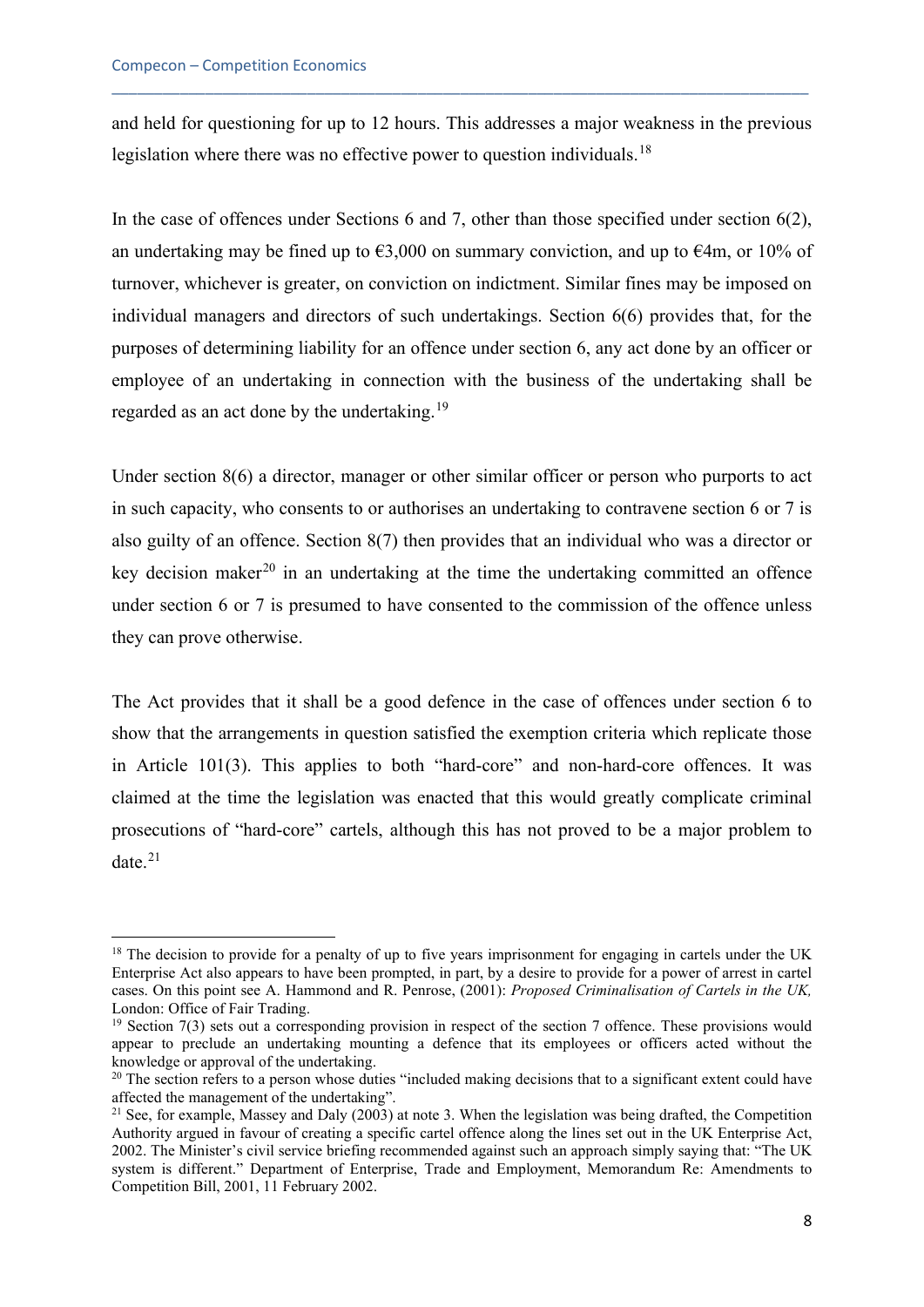and held for questioning for up to 12 hours. This addresses a major weakness in the previous legislation where there was no effective power to question individuals.<sup>[18](#page-7-0)</sup>

\_\_\_\_\_\_\_\_\_\_\_\_\_\_\_\_\_\_\_\_\_\_\_\_\_\_\_\_\_\_\_\_\_\_\_\_\_\_\_\_\_\_\_\_\_\_\_\_\_\_\_\_\_\_\_\_\_\_\_\_\_\_\_\_\_\_\_\_\_\_\_\_\_\_\_\_\_\_\_\_\_\_

In the case of offences under Sections 6 and 7, other than those specified under section 6(2), an undertaking may be fined up to  $\epsilon$ 3,000 on summary conviction, and up to  $\epsilon$ 4m, or 10% of turnover, whichever is greater, on conviction on indictment. Similar fines may be imposed on individual managers and directors of such undertakings. Section 6(6) provides that, for the purposes of determining liability for an offence under section 6, any act done by an officer or employee of an undertaking in connection with the business of the undertaking shall be regarded as an act done by the undertaking.[19](#page-7-1)

Under section 8(6) a director, manager or other similar officer or person who purports to act in such capacity, who consents to or authorises an undertaking to contravene section 6 or 7 is also guilty of an offence. Section 8(7) then provides that an individual who was a director or key decision maker<sup>[20](#page-7-2)</sup> in an undertaking at the time the undertaking committed an offence under section 6 or 7 is presumed to have consented to the commission of the offence unless they can prove otherwise.

The Act provides that it shall be a good defence in the case of offences under section 6 to show that the arrangements in question satisfied the exemption criteria which replicate those in Article 101(3). This applies to both "hard-core" and non-hard-core offences. It was claimed at the time the legislation was enacted that this would greatly complicate criminal prosecutions of "hard-core" cartels, although this has not proved to be a major problem to date.<sup>21</sup>

<span id="page-7-0"></span><sup>&</sup>lt;sup>18</sup> The decision to provide for a penalty of up to five years imprisonment for engaging in cartels under the UK Enterprise Act also appears to have been prompted, in part, by a desire to provide for a power of arrest in cartel cases. On this point see A. Hammond and R. Penrose, (2001): *Proposed Criminalisation of Cartels in the UK,*  London: Office of Fair Trading.

<span id="page-7-1"></span><sup>&</sup>lt;sup>19</sup> Section 7(3) sets out a corresponding provision in respect of the section 7 offence. These provisions would appear to preclude an undertaking mounting a defence that its employees or officers acted without the knowledge or approval of the undertaking.

<span id="page-7-2"></span> $20$  The section refers to a person whose duties "included making decisions that to a significant extent could have affected the management of the undertaking".

<span id="page-7-3"></span><sup>&</sup>lt;sup>21</sup> See, for example, Massey and Daly (2003) at note 3. When the legislation was being drafted, the Competition Authority argued in favour of creating a specific cartel offence along the lines set out in the UK Enterprise Act, 2002. The Minister's civil service briefing recommended against such an approach simply saying that: "The UK system is different." Department of Enterprise, Trade and Employment, Memorandum Re: Amendments to Competition Bill, 2001, 11 February 2002.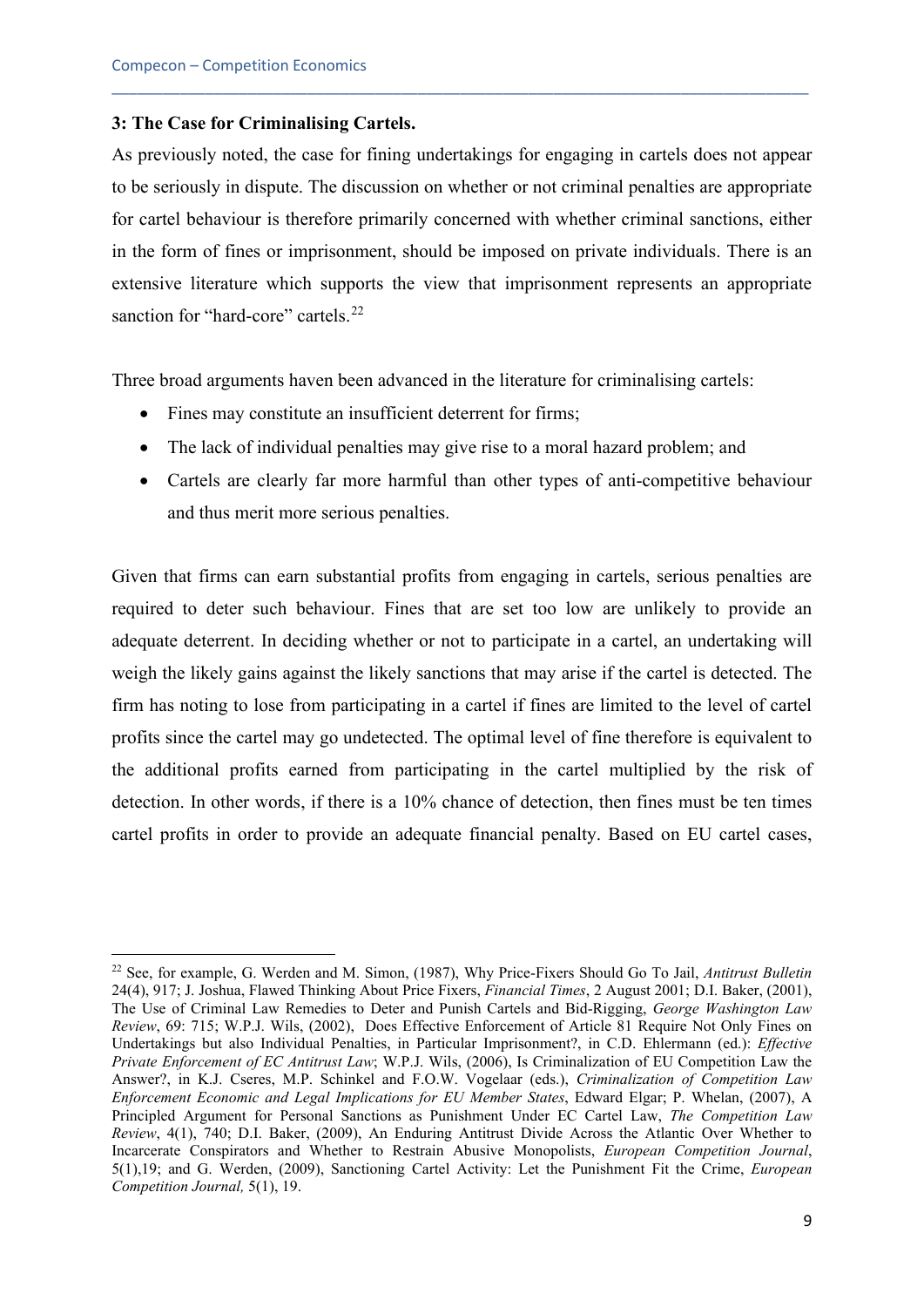## **3: The Case for Criminalising Cartels.**

As previously noted, the case for fining undertakings for engaging in cartels does not appear to be seriously in dispute. The discussion on whether or not criminal penalties are appropriate for cartel behaviour is therefore primarily concerned with whether criminal sanctions, either in the form of fines or imprisonment, should be imposed on private individuals. There is an extensive literature which supports the view that imprisonment represents an appropriate sanction for "hard-core" cartels.<sup>[22](#page-8-0)</sup>

\_\_\_\_\_\_\_\_\_\_\_\_\_\_\_\_\_\_\_\_\_\_\_\_\_\_\_\_\_\_\_\_\_\_\_\_\_\_\_\_\_\_\_\_\_\_\_\_\_\_\_\_\_\_\_\_\_\_\_\_\_\_\_\_\_\_\_\_\_\_\_\_\_\_\_\_\_\_\_\_\_\_

Three broad arguments haven been advanced in the literature for criminalising cartels:

- Fines may constitute an insufficient deterrent for firms;
- The lack of individual penalties may give rise to a moral hazard problem; and
- Cartels are clearly far more harmful than other types of anti-competitive behaviour and thus merit more serious penalties.

Given that firms can earn substantial profits from engaging in cartels, serious penalties are required to deter such behaviour. Fines that are set too low are unlikely to provide an adequate deterrent. In deciding whether or not to participate in a cartel, an undertaking will weigh the likely gains against the likely sanctions that may arise if the cartel is detected. The firm has noting to lose from participating in a cartel if fines are limited to the level of cartel profits since the cartel may go undetected. The optimal level of fine therefore is equivalent to the additional profits earned from participating in the cartel multiplied by the risk of detection. In other words, if there is a 10% chance of detection, then fines must be ten times cartel profits in order to provide an adequate financial penalty. Based on EU cartel cases,

<span id="page-8-0"></span><sup>22</sup> See, for example, G. Werden and M. Simon, (1987), Why Price-Fixers Should Go To Jail, *Antitrust Bulletin* 24(4), 917; J. Joshua, Flawed Thinking About Price Fixers, *Financial Times*, 2 August 2001; D.I. Baker, (2001), The Use of Criminal Law Remedies to Deter and Punish Cartels and Bid-Rigging, *George Washington Law Review*, 69: 715; W.P.J. Wils, (2002), Does Effective Enforcement of Article 81 Require Not Only Fines on Undertakings but also Individual Penalties, in Particular Imprisonment?, in C.D. Ehlermann (ed.): *Effective Private Enforcement of EC Antitrust Law*; W.P.J. Wils, (2006), Is Criminalization of EU Competition Law the Answer?, in K.J. Cseres, M.P. Schinkel and F.O.W. Vogelaar (eds.), *Criminalization of Competition Law Enforcement Economic and Legal Implications for EU Member States*, Edward Elgar; P. Whelan, (2007), A Principled Argument for Personal Sanctions as Punishment Under EC Cartel Law, *The Competition Law Review*, 4(1), 740; D.I. Baker, (2009), An Enduring Antitrust Divide Across the Atlantic Over Whether to Incarcerate Conspirators and Whether to Restrain Abusive Monopolists, *European Competition Journal*, 5(1),19; and G. Werden, (2009), Sanctioning Cartel Activity: Let the Punishment Fit the Crime, *European Competition Journal,* 5(1), 19.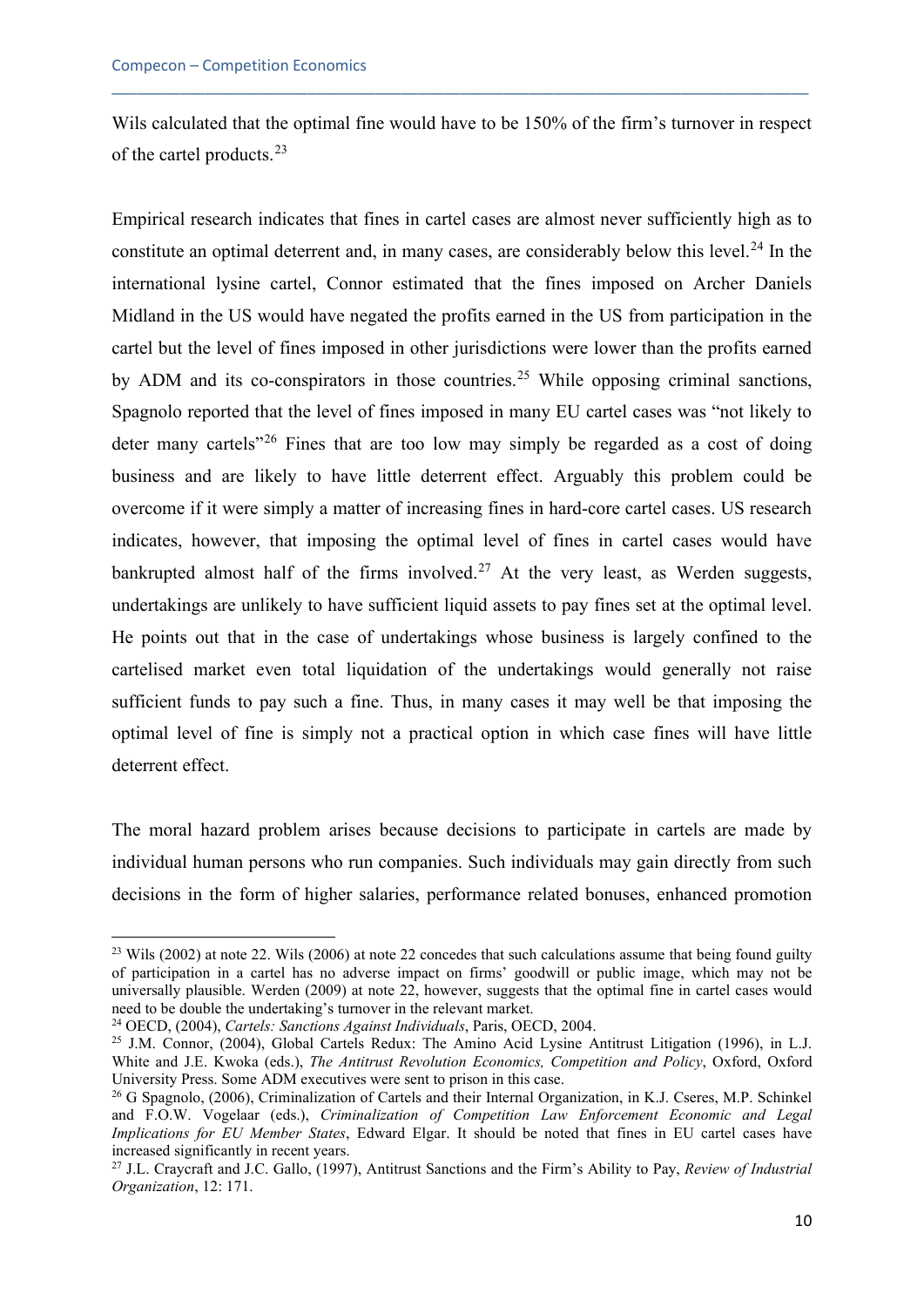Wils calculated that the optimal fine would have to be 150% of the firm's turnover in respect of the cartel products.[23](#page-9-0)

\_\_\_\_\_\_\_\_\_\_\_\_\_\_\_\_\_\_\_\_\_\_\_\_\_\_\_\_\_\_\_\_\_\_\_\_\_\_\_\_\_\_\_\_\_\_\_\_\_\_\_\_\_\_\_\_\_\_\_\_\_\_\_\_\_\_\_\_\_\_\_\_\_\_\_\_\_\_\_\_\_\_

Empirical research indicates that fines in cartel cases are almost never sufficiently high as to constitute an optimal deterrent and, in many cases, are considerably below this level.<sup>[24](#page-9-1)</sup> In the international lysine cartel, Connor estimated that the fines imposed on Archer Daniels Midland in the US would have negated the profits earned in the US from participation in the cartel but the level of fines imposed in other jurisdictions were lower than the profits earned by ADM and its co-conspirators in those countries.<sup>[25](#page-9-2)</sup> While opposing criminal sanctions, Spagnolo reported that the level of fines imposed in many EU cartel cases was "not likely to deter many cartels<sup>"[26](#page-9-3)</sup> Fines that are too low may simply be regarded as a cost of doing business and are likely to have little deterrent effect. Arguably this problem could be overcome if it were simply a matter of increasing fines in hard-core cartel cases. US research indicates, however, that imposing the optimal level of fines in cartel cases would have bankrupted almost half of the firms involved.<sup>[27](#page-9-4)</sup> At the very least, as Werden suggests, undertakings are unlikely to have sufficient liquid assets to pay fines set at the optimal level. He points out that in the case of undertakings whose business is largely confined to the cartelised market even total liquidation of the undertakings would generally not raise sufficient funds to pay such a fine. Thus, in many cases it may well be that imposing the optimal level of fine is simply not a practical option in which case fines will have little deterrent effect.

The moral hazard problem arises because decisions to participate in cartels are made by individual human persons who run companies. Such individuals may gain directly from such decisions in the form of higher salaries, performance related bonuses, enhanced promotion

<span id="page-9-0"></span><sup>&</sup>lt;sup>23</sup> Wils (2002) at note 22. Wils (2006) at note 22 concedes that such calculations assume that being found guilty of participation in a cartel has no adverse impact on firms' goodwill or public image, which may not be universally plausible. Werden (2009) at note 22, however, suggests that the optimal fine in cartel cases would need to be double the undertaking's turnover in the relevant market.

<span id="page-9-1"></span><sup>24</sup> OECD, (2004), *Cartels: Sanctions Against Individuals*, Paris, OECD, 2004.

<span id="page-9-2"></span><sup>25</sup> J.M. Connor, (2004), Global Cartels Redux: The Amino Acid Lysine Antitrust Litigation (1996), in L.J. White and J.E. Kwoka (eds.), *The Antitrust Revolution Economics*, *Competition and Policy*, Oxford, Oxford University Press. Some ADM executives were sent to prison in this case.

<span id="page-9-3"></span> $^{26}$  G Spagnolo, (2006), Criminalization of Cartels and their Internal Organization, in K.J. Cseres, M.P. Schinkel and F.O.W. Vogelaar (eds.), *Criminalization of Competition Law Enforcement Economic and Legal Implications for EU Member States*, Edward Elgar. It should be noted that fines in EU cartel cases have increased significantly in recent years.

<span id="page-9-4"></span><sup>27</sup> J.L. Craycraft and J.C. Gallo, (1997), Antitrust Sanctions and the Firm's Ability to Pay, *Review of Industrial Organization*, 12: 171.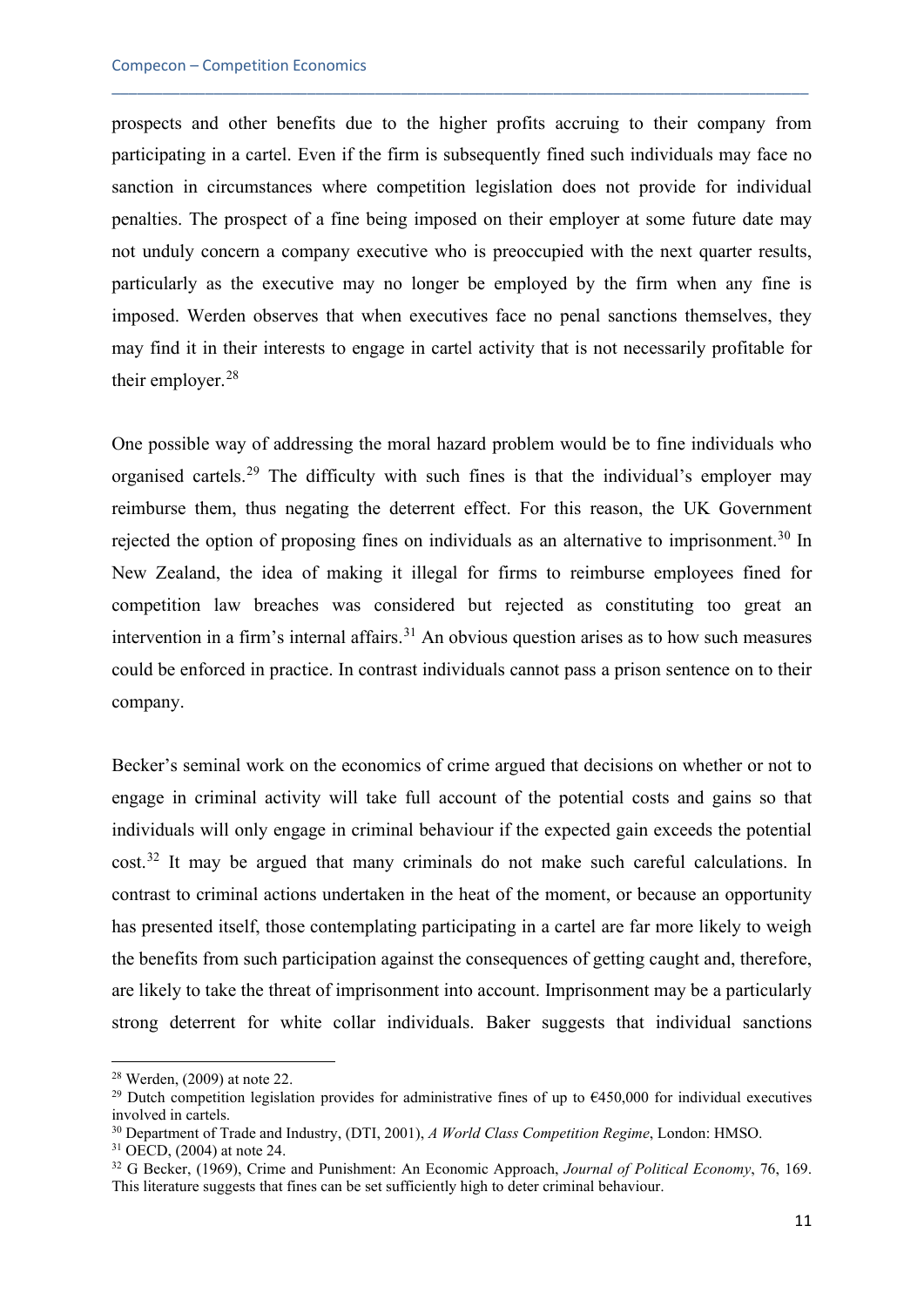prospects and other benefits due to the higher profits accruing to their company from participating in a cartel. Even if the firm is subsequently fined such individuals may face no sanction in circumstances where competition legislation does not provide for individual penalties. The prospect of a fine being imposed on their employer at some future date may not unduly concern a company executive who is preoccupied with the next quarter results, particularly as the executive may no longer be employed by the firm when any fine is imposed. Werden observes that when executives face no penal sanctions themselves, they may find it in their interests to engage in cartel activity that is not necessarily profitable for their employer. $28$ 

\_\_\_\_\_\_\_\_\_\_\_\_\_\_\_\_\_\_\_\_\_\_\_\_\_\_\_\_\_\_\_\_\_\_\_\_\_\_\_\_\_\_\_\_\_\_\_\_\_\_\_\_\_\_\_\_\_\_\_\_\_\_\_\_\_\_\_\_\_\_\_\_\_\_\_\_\_\_\_\_\_\_

One possible way of addressing the moral hazard problem would be to fine individuals who organised cartels.[29](#page-10-1) The difficulty with such fines is that the individual's employer may reimburse them, thus negating the deterrent effect. For this reason, the UK Government rejected the option of proposing fines on individuals as an alternative to imprisonment.<sup>[30](#page-10-2)</sup> In New Zealand, the idea of making it illegal for firms to reimburse employees fined for competition law breaches was considered but rejected as constituting too great an intervention in a firm's internal affairs.<sup>[31](#page-10-3)</sup> An obvious question arises as to how such measures could be enforced in practice. In contrast individuals cannot pass a prison sentence on to their company.

Becker's seminal work on the economics of crime argued that decisions on whether or not to engage in criminal activity will take full account of the potential costs and gains so that individuals will only engage in criminal behaviour if the expected gain exceeds the potential cost.[32](#page-10-4) It may be argued that many criminals do not make such careful calculations. In contrast to criminal actions undertaken in the heat of the moment, or because an opportunity has presented itself, those contemplating participating in a cartel are far more likely to weigh the benefits from such participation against the consequences of getting caught and, therefore, are likely to take the threat of imprisonment into account. Imprisonment may be a particularly strong deterrent for white collar individuals. Baker suggests that individual sanctions

<span id="page-10-0"></span><sup>28</sup> Werden, (2009) at note 22.

<span id="page-10-1"></span><sup>&</sup>lt;sup>29</sup> Dutch competition legislation provides for administrative fines of up to  $6450,000$  for individual executives involved in cartels.

<span id="page-10-2"></span><sup>30</sup> Department of Trade and Industry, (DTI, 2001), *A World Class Competition Regime*, London: HMSO.

<span id="page-10-3"></span> $31$  OECD, (2004) at note 24.

<span id="page-10-4"></span><sup>32</sup> G Becker, (1969), Crime and Punishment: An Economic Approach, *Journal of Political Economy*, 76, 169. This literature suggests that fines can be set sufficiently high to deter criminal behaviour.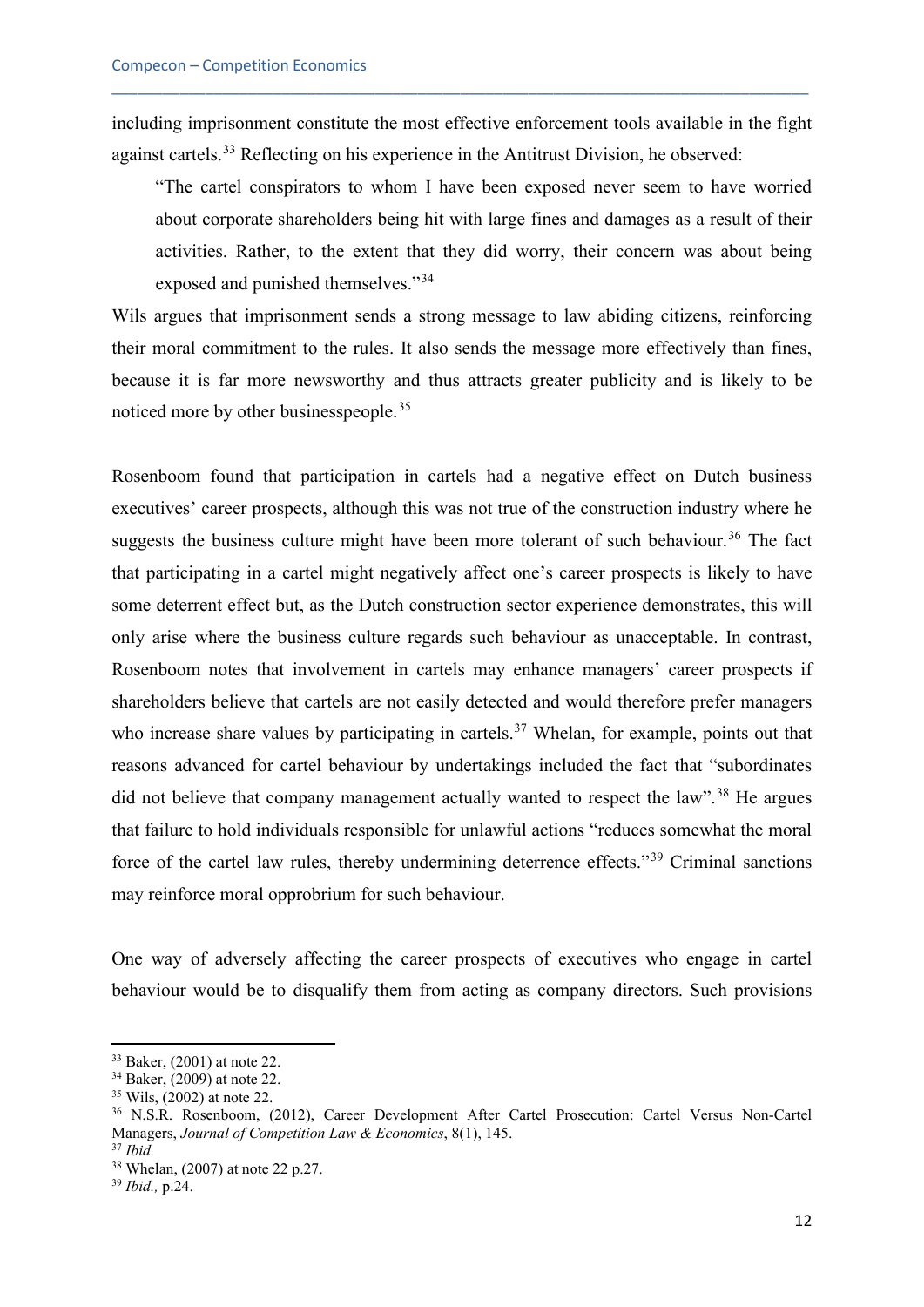including imprisonment constitute the most effective enforcement tools available in the fight against cartels.<sup>[33](#page-11-0)</sup> Reflecting on his experience in the Antitrust Division, he observed:

\_\_\_\_\_\_\_\_\_\_\_\_\_\_\_\_\_\_\_\_\_\_\_\_\_\_\_\_\_\_\_\_\_\_\_\_\_\_\_\_\_\_\_\_\_\_\_\_\_\_\_\_\_\_\_\_\_\_\_\_\_\_\_\_\_\_\_\_\_\_\_\_\_\_\_\_\_\_\_\_\_\_

"The cartel conspirators to whom I have been exposed never seem to have worried about corporate shareholders being hit with large fines and damages as a result of their activities. Rather, to the extent that they did worry, their concern was about being exposed and punished themselves."[34](#page-11-1)

Wils argues that imprisonment sends a strong message to law abiding citizens, reinforcing their moral commitment to the rules. It also sends the message more effectively than fines, because it is far more newsworthy and thus attracts greater publicity and is likely to be noticed more by other businesspeople.<sup>[35](#page-11-2)</sup>

Rosenboom found that participation in cartels had a negative effect on Dutch business executives' career prospects, although this was not true of the construction industry where he suggests the business culture might have been more tolerant of such behaviour.<sup>[36](#page-11-3)</sup> The fact that participating in a cartel might negatively affect one's career prospects is likely to have some deterrent effect but, as the Dutch construction sector experience demonstrates, this will only arise where the business culture regards such behaviour as unacceptable. In contrast, Rosenboom notes that involvement in cartels may enhance managers' career prospects if shareholders believe that cartels are not easily detected and would therefore prefer managers who increase share values by participating in cartels.<sup>[37](#page-11-4)</sup> Whelan, for example, points out that reasons advanced for cartel behaviour by undertakings included the fact that "subordinates did not believe that company management actually wanted to respect the law".<sup>[38](#page-11-5)</sup> He argues that failure to hold individuals responsible for unlawful actions "reduces somewhat the moral force of the cartel law rules, thereby undermining deterrence effects."[39](#page-11-6) Criminal sanctions may reinforce moral opprobrium for such behaviour.

One way of adversely affecting the career prospects of executives who engage in cartel behaviour would be to disqualify them from acting as company directors. Such provisions

<span id="page-11-0"></span><sup>33</sup> Baker, (2001) at note 22.

<span id="page-11-1"></span><sup>34</sup> Baker, (2009) at note 22.

<span id="page-11-2"></span><sup>35</sup> Wils, (2002) at note 22.

<span id="page-11-3"></span><sup>36</sup> N.S.R. Rosenboom, (2012), Career Development After Cartel Prosecution: Cartel Versus Non-Cartel Managers, *Journal of Competition Law & Economics*, 8(1), 145.

<span id="page-11-4"></span><sup>37</sup> *Ibid.*

<span id="page-11-5"></span><sup>38</sup> Whelan, (2007) at note 22 p.27.

<span id="page-11-6"></span><sup>39</sup> *Ibid.,* p.24.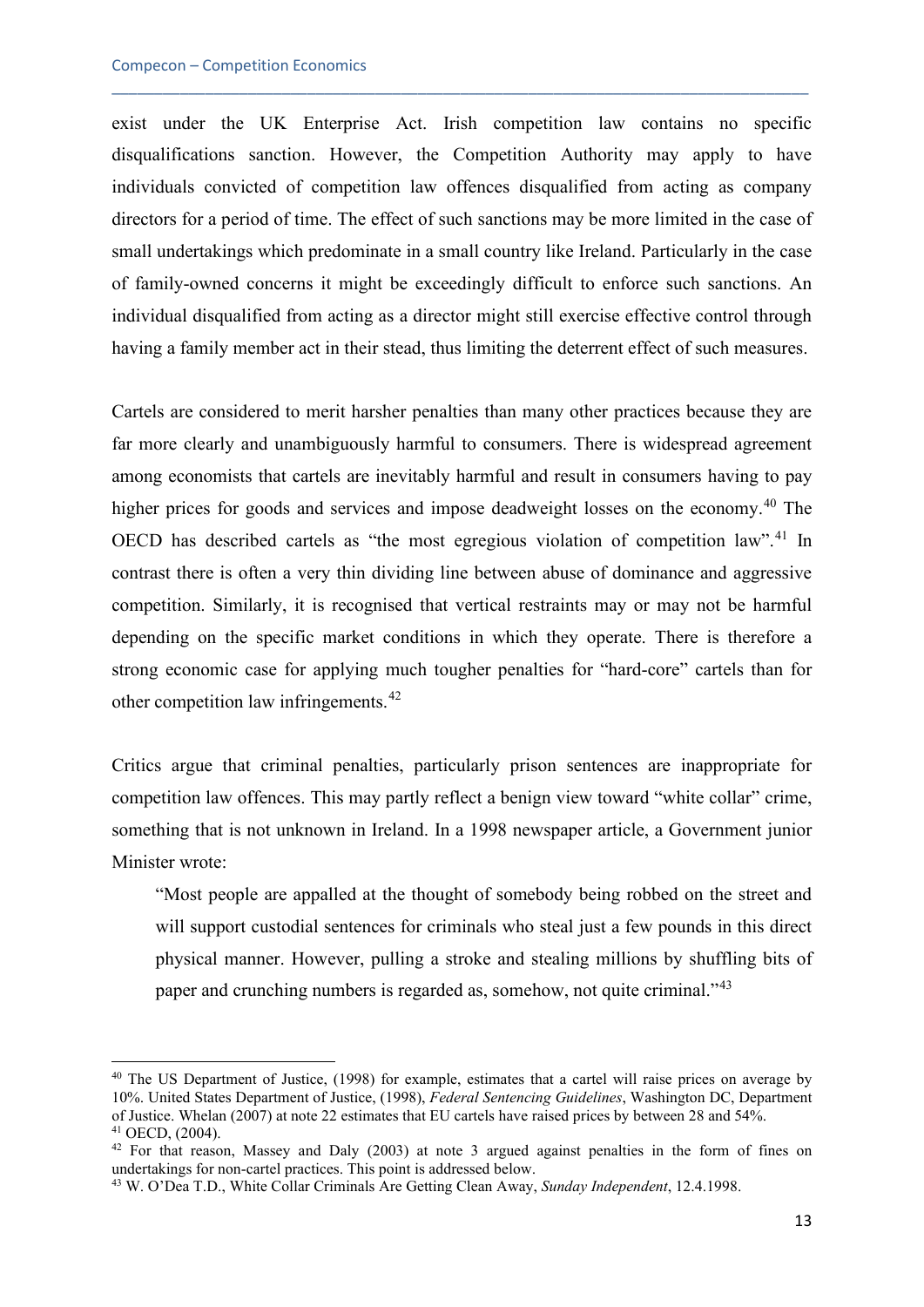exist under the UK Enterprise Act. Irish competition law contains no specific disqualifications sanction. However, the Competition Authority may apply to have individuals convicted of competition law offences disqualified from acting as company directors for a period of time. The effect of such sanctions may be more limited in the case of small undertakings which predominate in a small country like Ireland. Particularly in the case of family-owned concerns it might be exceedingly difficult to enforce such sanctions. An individual disqualified from acting as a director might still exercise effective control through having a family member act in their stead, thus limiting the deterrent effect of such measures.

\_\_\_\_\_\_\_\_\_\_\_\_\_\_\_\_\_\_\_\_\_\_\_\_\_\_\_\_\_\_\_\_\_\_\_\_\_\_\_\_\_\_\_\_\_\_\_\_\_\_\_\_\_\_\_\_\_\_\_\_\_\_\_\_\_\_\_\_\_\_\_\_\_\_\_\_\_\_\_\_\_\_

Cartels are considered to merit harsher penalties than many other practices because they are far more clearly and unambiguously harmful to consumers. There is widespread agreement among economists that cartels are inevitably harmful and result in consumers having to pay higher prices for goods and services and impose deadweight losses on the economy.<sup>[40](#page-12-0)</sup> The OECD has described cartels as "the most egregious violation of competition law".<sup>[41](#page-12-1)</sup> In contrast there is often a very thin dividing line between abuse of dominance and aggressive competition. Similarly, it is recognised that vertical restraints may or may not be harmful depending on the specific market conditions in which they operate. There is therefore a strong economic case for applying much tougher penalties for "hard-core" cartels than for other competition law infringements.<sup>[42](#page-12-2)</sup>

Critics argue that criminal penalties, particularly prison sentences are inappropriate for competition law offences. This may partly reflect a benign view toward "white collar" crime, something that is not unknown in Ireland. In a 1998 newspaper article, a Government junior Minister wrote:

"Most people are appalled at the thought of somebody being robbed on the street and will support custodial sentences for criminals who steal just a few pounds in this direct physical manner. However, pulling a stroke and stealing millions by shuffling bits of paper and crunching numbers is regarded as, somehow, not quite criminal."[43](#page-12-3)

<span id="page-12-0"></span><sup>&</sup>lt;sup>40</sup> The US Department of Justice, (1998) for example, estimates that a cartel will raise prices on average by 10%. United States Department of Justice, (1998), *Federal Sentencing Guidelines*, Washington DC, Department of Justice. Whelan (2007) at note 22 estimates that EU cartels have raised prices by between 28 and 54%. <sup>41</sup> OECD, (2004).

<span id="page-12-2"></span><span id="page-12-1"></span><sup>42</sup> For that reason, Massey and Daly (2003) at note 3 argued against penalties in the form of fines on undertakings for non-cartel practices. This point is addressed below.

<span id="page-12-3"></span><sup>43</sup> W. O'Dea T.D., White Collar Criminals Are Getting Clean Away, *Sunday Independent*, 12.4.1998.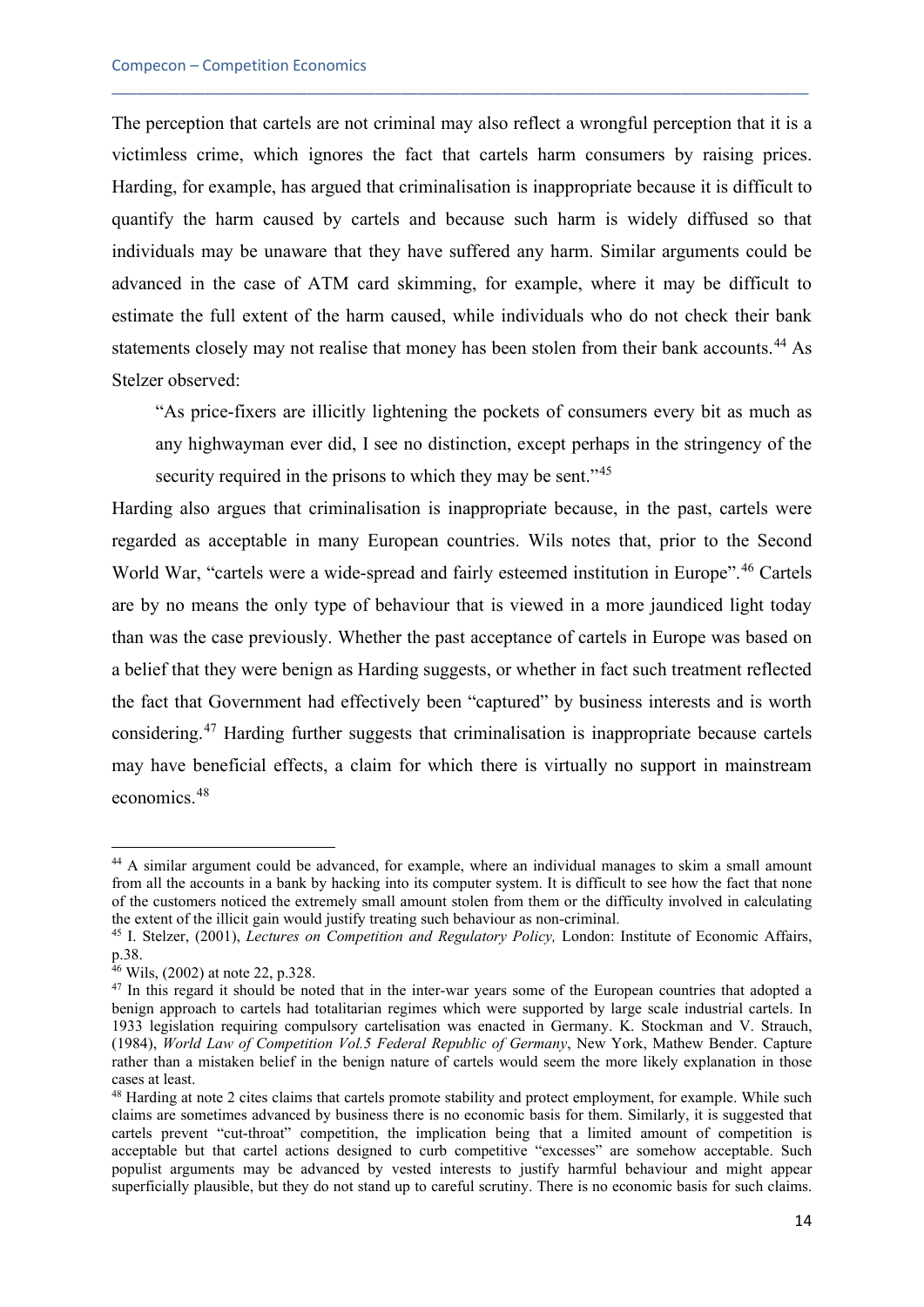The perception that cartels are not criminal may also reflect a wrongful perception that it is a victimless crime, which ignores the fact that cartels harm consumers by raising prices. Harding, for example, has argued that criminalisation is inappropriate because it is difficult to quantify the harm caused by cartels and because such harm is widely diffused so that individuals may be unaware that they have suffered any harm. Similar arguments could be advanced in the case of ATM card skimming, for example, where it may be difficult to estimate the full extent of the harm caused, while individuals who do not check their bank statements closely may not realise that money has been stolen from their bank accounts.<sup>[44](#page-13-0)</sup> As Stelzer observed:

\_\_\_\_\_\_\_\_\_\_\_\_\_\_\_\_\_\_\_\_\_\_\_\_\_\_\_\_\_\_\_\_\_\_\_\_\_\_\_\_\_\_\_\_\_\_\_\_\_\_\_\_\_\_\_\_\_\_\_\_\_\_\_\_\_\_\_\_\_\_\_\_\_\_\_\_\_\_\_\_\_\_

"As price-fixers are illicitly lightening the pockets of consumers every bit as much as any highwayman ever did, I see no distinction, except perhaps in the stringency of the security required in the prisons to which they may be sent."<sup>[45](#page-13-1)</sup>

Harding also argues that criminalisation is inappropriate because, in the past, cartels were regarded as acceptable in many European countries. Wils notes that, prior to the Second World War, "cartels were a wide-spread and fairly esteemed institution in Europe".<sup>[46](#page-13-2)</sup> Cartels are by no means the only type of behaviour that is viewed in a more jaundiced light today than was the case previously. Whether the past acceptance of cartels in Europe was based on a belief that they were benign as Harding suggests, or whether in fact such treatment reflected the fact that Government had effectively been "captured" by business interests and is worth considering.[47](#page-13-3) Harding further suggests that criminalisation is inappropriate because cartels may have beneficial effects, a claim for which there is virtually no support in mainstream economics.[48](#page-13-4)

<span id="page-13-0"></span><sup>&</sup>lt;sup>44</sup> A similar argument could be advanced, for example, where an individual manages to skim a small amount from all the accounts in a bank by hacking into its computer system. It is difficult to see how the fact that none of the customers noticed the extremely small amount stolen from them or the difficulty involved in calculating the extent of the illicit gain would justify treating such behaviour as non-criminal.

<span id="page-13-1"></span><sup>45</sup> I. Stelzer, (2001), *Lectures on Competition and Regulatory Policy,* London: Institute of Economic Affairs, p.38.

<span id="page-13-2"></span><sup>46</sup> Wils, (2002) at note 22, p.328.

<span id="page-13-3"></span><sup>&</sup>lt;sup>47</sup> In this regard it should be noted that in the inter-war years some of the European countries that adopted a benign approach to cartels had totalitarian regimes which were supported by large scale industrial cartels. In 1933 legislation requiring compulsory cartelisation was enacted in Germany. K. Stockman and V. Strauch, (1984), *World Law of Competition Vol.5 Federal Republic of Germany*, New York, Mathew Bender. Capture rather than a mistaken belief in the benign nature of cartels would seem the more likely explanation in those cases at least.<br><sup>48</sup> Harding at note 2 cites claims that cartels promote stability and protect employment, for example. While such

<span id="page-13-4"></span>claims are sometimes advanced by business there is no economic basis for them. Similarly, it is suggested that cartels prevent "cut-throat" competition, the implication being that a limited amount of competition is acceptable but that cartel actions designed to curb competitive "excesses" are somehow acceptable. Such populist arguments may be advanced by vested interests to justify harmful behaviour and might appear superficially plausible, but they do not stand up to careful scrutiny. There is no economic basis for such claims.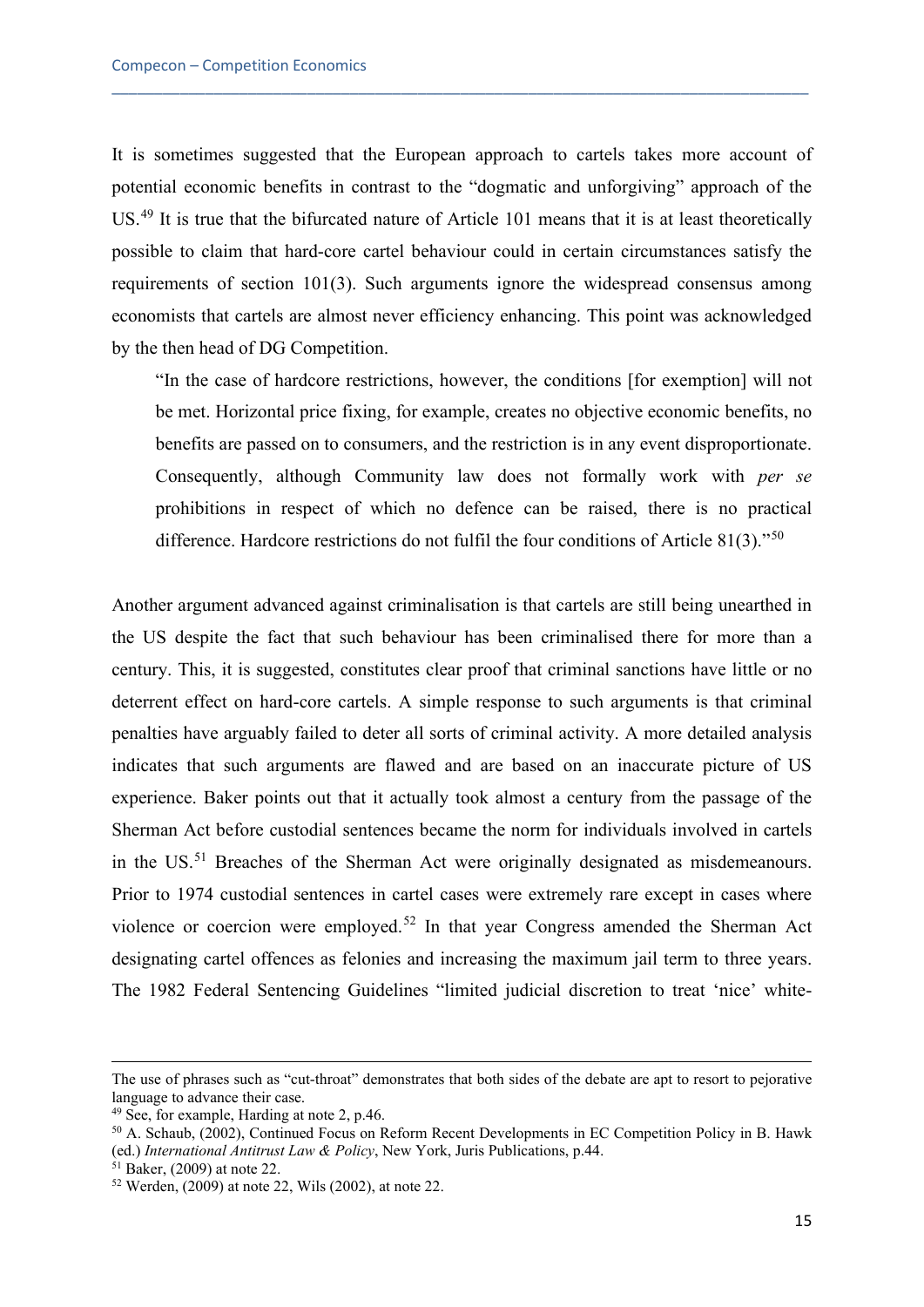It is sometimes suggested that the European approach to cartels takes more account of potential economic benefits in contrast to the "dogmatic and unforgiving" approach of the US.<sup>[49](#page-14-0)</sup> It is true that the bifurcated nature of Article 101 means that it is at least theoretically possible to claim that hard-core cartel behaviour could in certain circumstances satisfy the requirements of section 101(3). Such arguments ignore the widespread consensus among economists that cartels are almost never efficiency enhancing. This point was acknowledged by the then head of DG Competition.

\_\_\_\_\_\_\_\_\_\_\_\_\_\_\_\_\_\_\_\_\_\_\_\_\_\_\_\_\_\_\_\_\_\_\_\_\_\_\_\_\_\_\_\_\_\_\_\_\_\_\_\_\_\_\_\_\_\_\_\_\_\_\_\_\_\_\_\_\_\_\_\_\_\_\_\_\_\_\_\_\_\_

"In the case of hardcore restrictions, however, the conditions [for exemption] will not be met. Horizontal price fixing, for example, creates no objective economic benefits, no benefits are passed on to consumers, and the restriction is in any event disproportionate. Consequently, although Community law does not formally work with *per se*  prohibitions in respect of which no defence can be raised, there is no practical difference. Hardcore restrictions do not fulfil the four conditions of Article  $81(3)$ ."<sup>[50](#page-14-1)</sup>

Another argument advanced against criminalisation is that cartels are still being unearthed in the US despite the fact that such behaviour has been criminalised there for more than a century. This, it is suggested, constitutes clear proof that criminal sanctions have little or no deterrent effect on hard-core cartels. A simple response to such arguments is that criminal penalties have arguably failed to deter all sorts of criminal activity. A more detailed analysis indicates that such arguments are flawed and are based on an inaccurate picture of US experience. Baker points out that it actually took almost a century from the passage of the Sherman Act before custodial sentences became the norm for individuals involved in cartels in the US.<sup>[51](#page-14-2)</sup> Breaches of the Sherman Act were originally designated as misdemeanours. Prior to 1974 custodial sentences in cartel cases were extremely rare except in cases where violence or coercion were employed.[52](#page-14-3) In that year Congress amended the Sherman Act designating cartel offences as felonies and increasing the maximum jail term to three years. The 1982 Federal Sentencing Guidelines "limited judicial discretion to treat 'nice' white-

The use of phrases such as "cut-throat" demonstrates that both sides of the debate are apt to resort to pejorative

<span id="page-14-0"></span> $\frac{49}{9}$  See, for example. Harding at note 2, p.46.

<span id="page-14-1"></span><sup>50</sup> A. Schaub, (2002), Continued Focus on Reform Recent Developments in EC Competition Policy in B. Hawk (ed.) *International Antitrust Law & Policy*, New York, Juris Publications, p.44.

<span id="page-14-2"></span> $51$  Baker, (2009) at note 22.

<span id="page-14-3"></span><sup>52</sup> Werden, (2009) at note 22, Wils (2002), at note 22.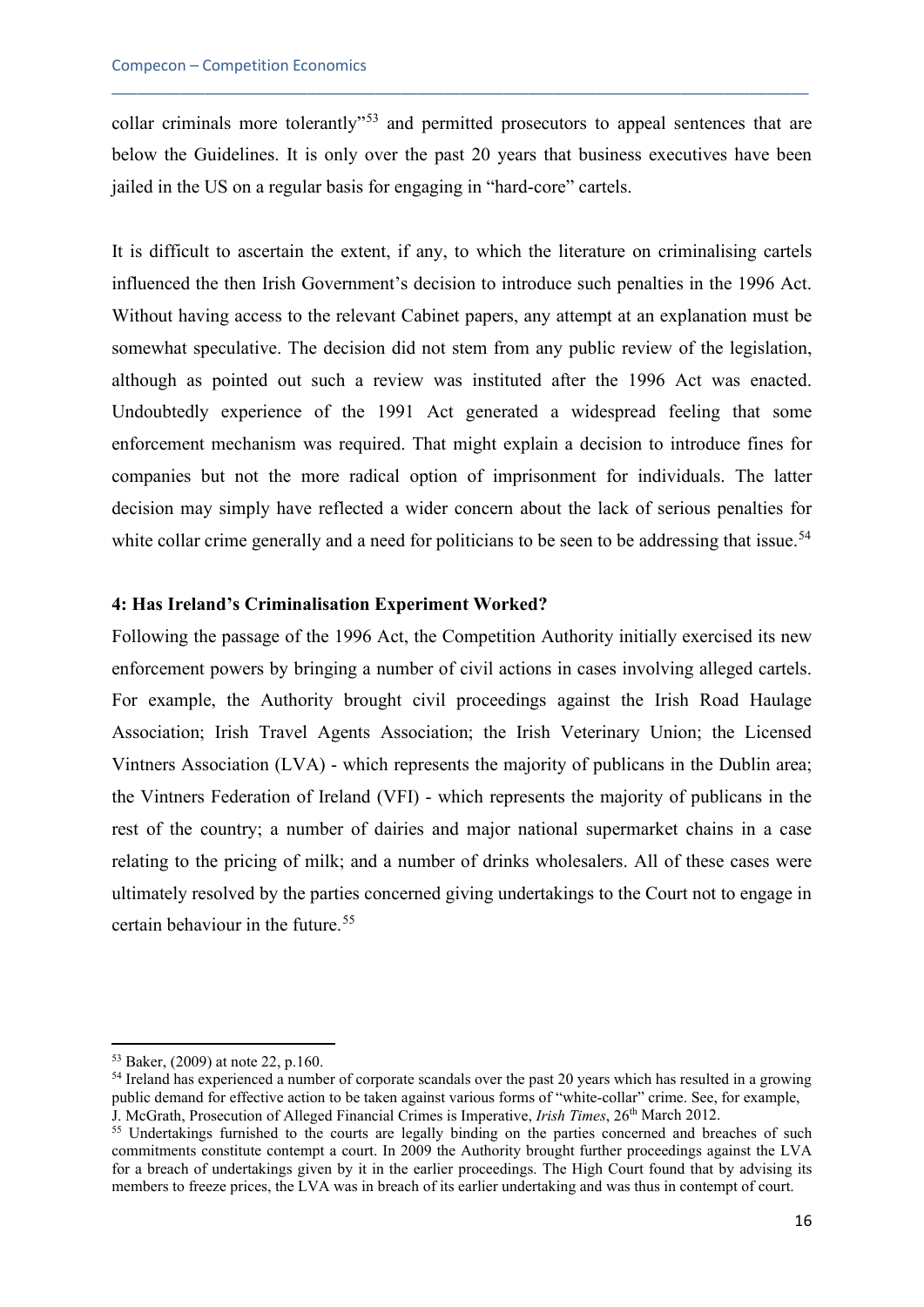collar criminals more tolerantly<sup>"[53](#page-15-0)</sup> and permitted prosecutors to appeal sentences that are below the Guidelines. It is only over the past 20 years that business executives have been jailed in the US on a regular basis for engaging in "hard-core" cartels.

\_\_\_\_\_\_\_\_\_\_\_\_\_\_\_\_\_\_\_\_\_\_\_\_\_\_\_\_\_\_\_\_\_\_\_\_\_\_\_\_\_\_\_\_\_\_\_\_\_\_\_\_\_\_\_\_\_\_\_\_\_\_\_\_\_\_\_\_\_\_\_\_\_\_\_\_\_\_\_\_\_\_

It is difficult to ascertain the extent, if any, to which the literature on criminalising cartels influenced the then Irish Government's decision to introduce such penalties in the 1996 Act. Without having access to the relevant Cabinet papers, any attempt at an explanation must be somewhat speculative. The decision did not stem from any public review of the legislation, although as pointed out such a review was instituted after the 1996 Act was enacted. Undoubtedly experience of the 1991 Act generated a widespread feeling that some enforcement mechanism was required. That might explain a decision to introduce fines for companies but not the more radical option of imprisonment for individuals. The latter decision may simply have reflected a wider concern about the lack of serious penalties for white collar crime generally and a need for politicians to be seen to be addressing that issue.<sup>[54](#page-15-1)</sup>

# **4: Has Ireland's Criminalisation Experiment Worked?**

Following the passage of the 1996 Act, the Competition Authority initially exercised its new enforcement powers by bringing a number of civil actions in cases involving alleged cartels. For example, the Authority brought civil proceedings against the Irish Road Haulage Association; Irish Travel Agents Association; the Irish Veterinary Union; the Licensed Vintners Association (LVA) - which represents the majority of publicans in the Dublin area; the Vintners Federation of Ireland (VFI) - which represents the majority of publicans in the rest of the country; a number of dairies and major national supermarket chains in a case relating to the pricing of milk; and a number of drinks wholesalers. All of these cases were ultimately resolved by the parties concerned giving undertakings to the Court not to engage in certain behaviour in the future.<sup>[55](#page-15-2)</sup>

<span id="page-15-0"></span><sup>53</sup> Baker, (2009) at note 22, p.160.

<span id="page-15-1"></span> $54$  Ireland has experienced a number of corporate scandals over the past 20 years which has resulted in a growing public demand for effective action to be taken against various forms of "white-collar" crime. See, for example, J. McGrath, Prosecution of Alleged Financial Crimes is Imperative, *Irish Times*, 26th March 2012.

<span id="page-15-2"></span><sup>&</sup>lt;sup>55</sup> Undertakings furnished to the courts are legally binding on the parties concerned and breaches of such commitments constitute contempt a court. In 2009 the Authority brought further proceedings against the LVA for a breach of undertakings given by it in the earlier proceedings. The High Court found that by advising its members to freeze prices, the LVA was in breach of its earlier undertaking and was thus in contempt of court.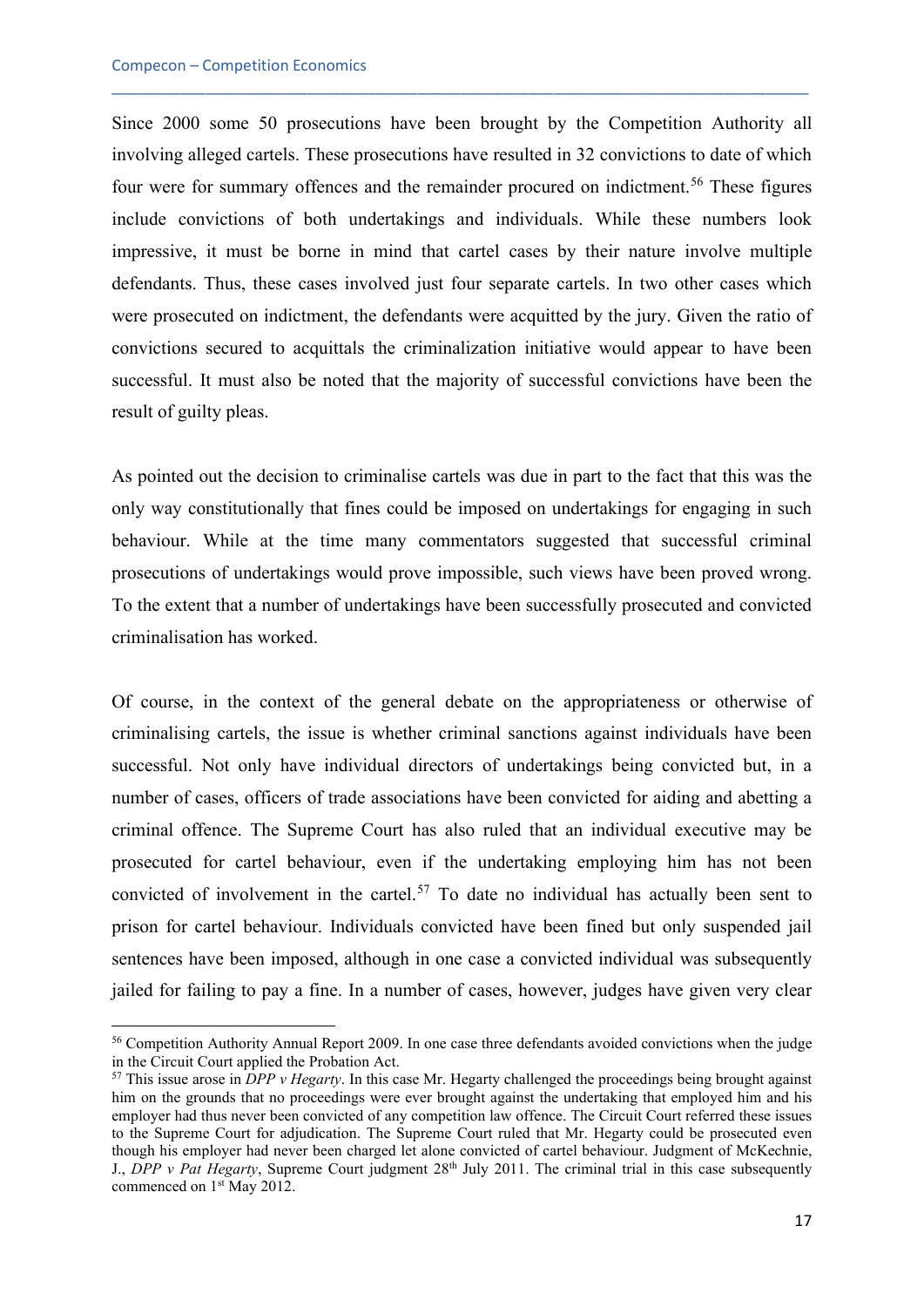Since 2000 some 50 prosecutions have been brought by the Competition Authority all involving alleged cartels. These prosecutions have resulted in 32 convictions to date of which four were for summary offences and the remainder procured on indictment.<sup>[56](#page-16-0)</sup> These figures include convictions of both undertakings and individuals. While these numbers look impressive, it must be borne in mind that cartel cases by their nature involve multiple defendants. Thus, these cases involved just four separate cartels. In two other cases which were prosecuted on indictment, the defendants were acquitted by the jury. Given the ratio of convictions secured to acquittals the criminalization initiative would appear to have been successful. It must also be noted that the majority of successful convictions have been the result of guilty pleas.

\_\_\_\_\_\_\_\_\_\_\_\_\_\_\_\_\_\_\_\_\_\_\_\_\_\_\_\_\_\_\_\_\_\_\_\_\_\_\_\_\_\_\_\_\_\_\_\_\_\_\_\_\_\_\_\_\_\_\_\_\_\_\_\_\_\_\_\_\_\_\_\_\_\_\_\_\_\_\_\_\_\_

As pointed out the decision to criminalise cartels was due in part to the fact that this was the only way constitutionally that fines could be imposed on undertakings for engaging in such behaviour. While at the time many commentators suggested that successful criminal prosecutions of undertakings would prove impossible, such views have been proved wrong. To the extent that a number of undertakings have been successfully prosecuted and convicted criminalisation has worked.

Of course, in the context of the general debate on the appropriateness or otherwise of criminalising cartels, the issue is whether criminal sanctions against individuals have been successful. Not only have individual directors of undertakings being convicted but, in a number of cases, officers of trade associations have been convicted for aiding and abetting a criminal offence. The Supreme Court has also ruled that an individual executive may be prosecuted for cartel behaviour, even if the undertaking employing him has not been convicted of involvement in the cartel.<sup>[57](#page-16-1)</sup> To date no individual has actually been sent to prison for cartel behaviour. Individuals convicted have been fined but only suspended jail sentences have been imposed, although in one case a convicted individual was subsequently jailed for failing to pay a fine. In a number of cases, however, judges have given very clear

<span id="page-16-0"></span><sup>&</sup>lt;sup>56</sup> Competition Authority Annual Report 2009. In one case three defendants avoided convictions when the judge in the Circuit Court applied the Probation Act.

<span id="page-16-1"></span><sup>57</sup> This issue arose in *DPP v Hegarty*. In this case Mr. Hegarty challenged the proceedings being brought against him on the grounds that no proceedings were ever brought against the undertaking that employed him and his employer had thus never been convicted of any competition law offence. The Circuit Court referred these issues to the Supreme Court for adjudication. The Supreme Court ruled that Mr. Hegarty could be prosecuted even though his employer had never been charged let alone convicted of cartel behaviour. Judgment of McKechnie, J., *DPP v Pat Hegarty*, Supreme Court judgment 28<sup>th</sup> July 2011. The criminal trial in this case subsequently commenced on 1<sup>st</sup> May 2012.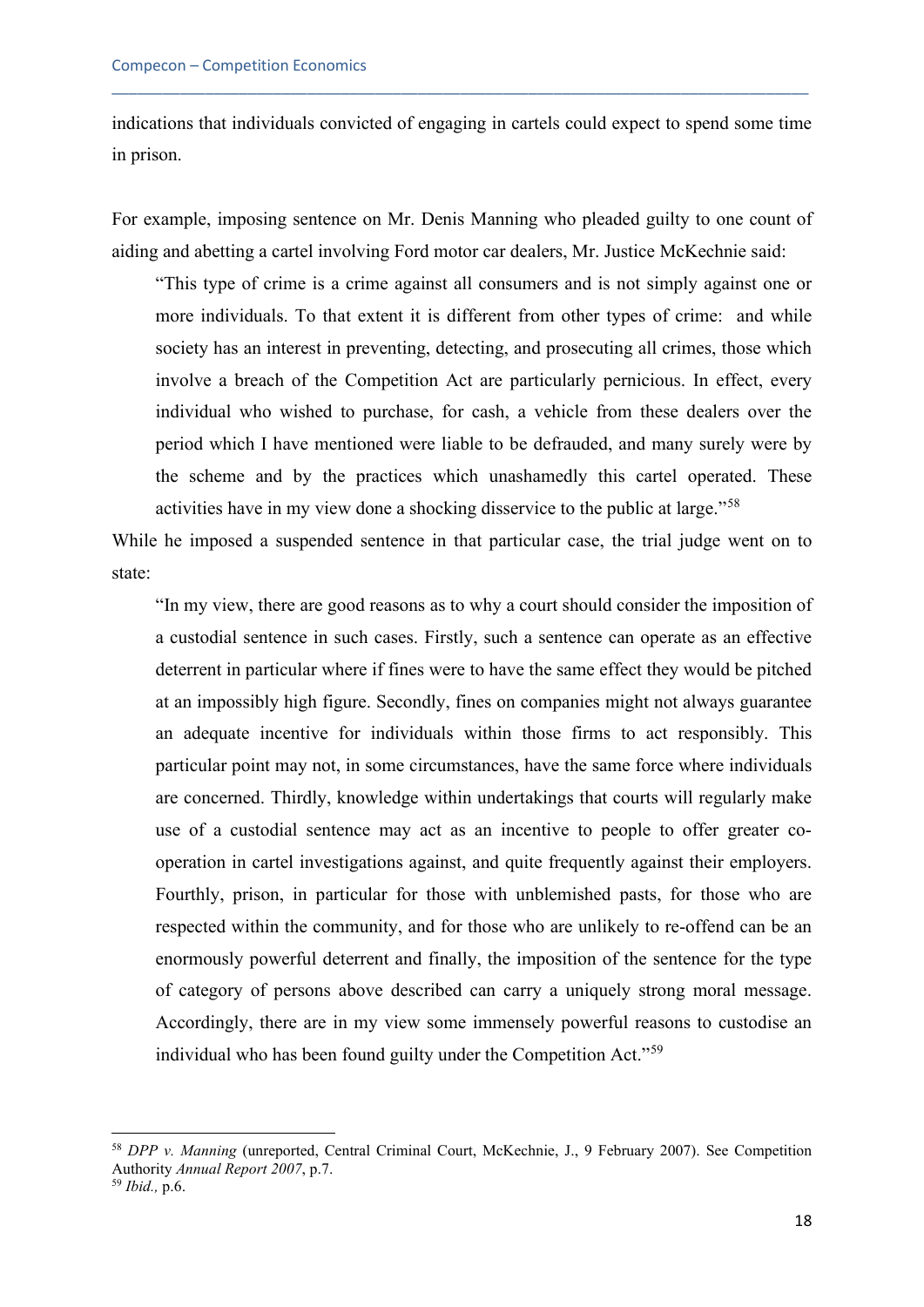indications that individuals convicted of engaging in cartels could expect to spend some time in prison.

\_\_\_\_\_\_\_\_\_\_\_\_\_\_\_\_\_\_\_\_\_\_\_\_\_\_\_\_\_\_\_\_\_\_\_\_\_\_\_\_\_\_\_\_\_\_\_\_\_\_\_\_\_\_\_\_\_\_\_\_\_\_\_\_\_\_\_\_\_\_\_\_\_\_\_\_\_\_\_\_\_\_

For example, imposing sentence on Mr. Denis Manning who pleaded guilty to one count of aiding and abetting a cartel involving Ford motor car dealers, Mr. Justice McKechnie said:

"This type of crime is a crime against all consumers and is not simply against one or more individuals. To that extent it is different from other types of crime: and while society has an interest in preventing, detecting, and prosecuting all crimes, those which involve a breach of the Competition Act are particularly pernicious. In effect, every individual who wished to purchase, for cash, a vehicle from these dealers over the period which I have mentioned were liable to be defrauded, and many surely were by the scheme and by the practices which unashamedly this cartel operated. These activities have in my view done a shocking disservice to the public at large."[58](#page-17-0)

While he imposed a suspended sentence in that particular case, the trial judge went on to state:

"In my view, there are good reasons as to why a court should consider the imposition of a custodial sentence in such cases. Firstly, such a sentence can operate as an effective deterrent in particular where if fines were to have the same effect they would be pitched at an impossibly high figure. Secondly, fines on companies might not always guarantee an adequate incentive for individuals within those firms to act responsibly. This particular point may not, in some circumstances, have the same force where individuals are concerned. Thirdly, knowledge within undertakings that courts will regularly make use of a custodial sentence may act as an incentive to people to offer greater cooperation in cartel investigations against, and quite frequently against their employers. Fourthly, prison, in particular for those with unblemished pasts, for those who are respected within the community, and for those who are unlikely to re-offend can be an enormously powerful deterrent and finally, the imposition of the sentence for the type of category of persons above described can carry a uniquely strong moral message. Accordingly, there are in my view some immensely powerful reasons to custodise an individual who has been found guilty under the Competition Act."[59](#page-17-1)

<span id="page-17-0"></span><sup>58</sup> *DPP v. Manning* (unreported, Central Criminal Court, McKechnie, J., 9 February 2007). See Competition Authority *Annual Report 2007*, p.7.

<span id="page-17-1"></span><sup>59</sup> *Ibid.,* p.6.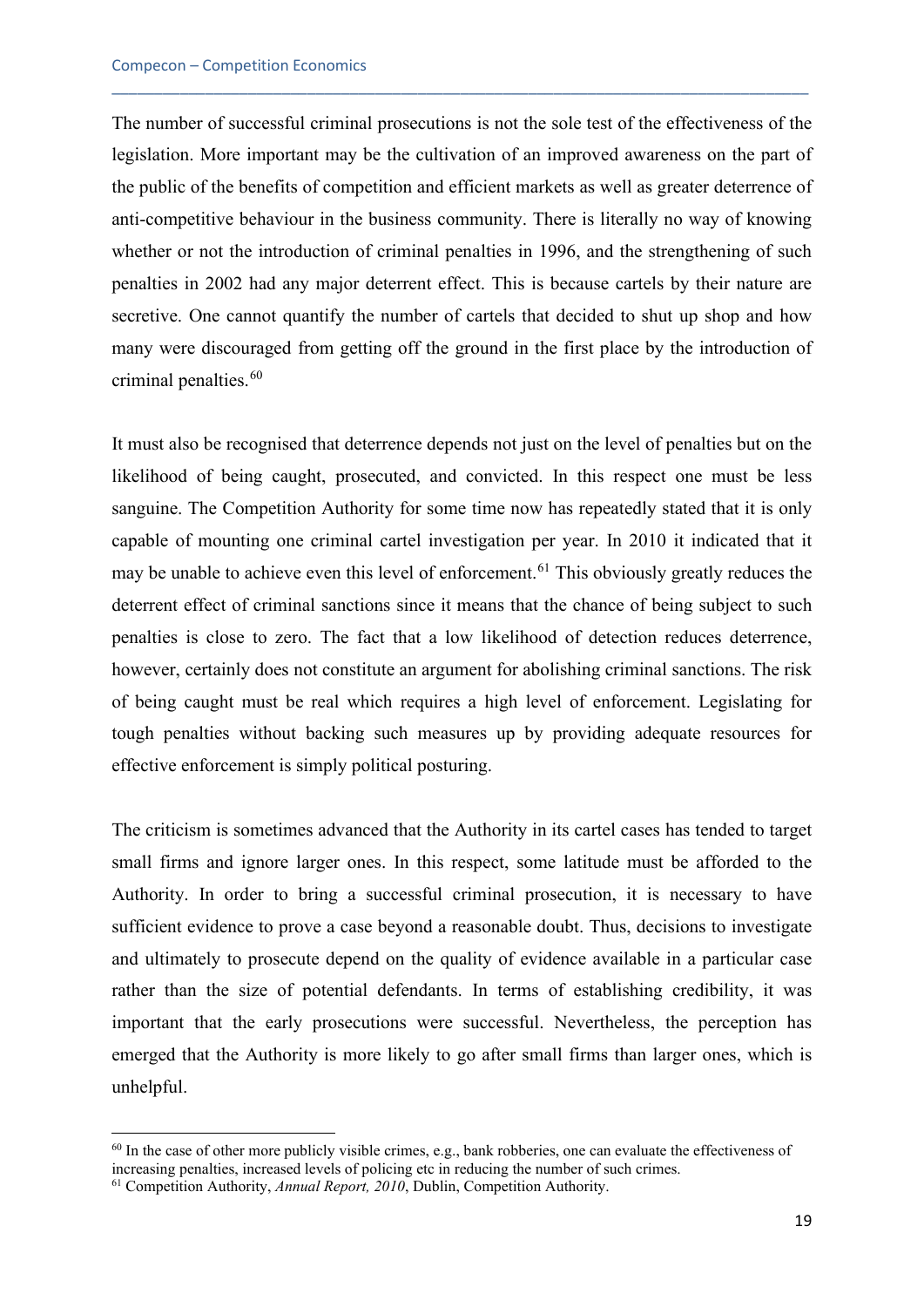The number of successful criminal prosecutions is not the sole test of the effectiveness of the legislation. More important may be the cultivation of an improved awareness on the part of the public of the benefits of competition and efficient markets as well as greater deterrence of anti-competitive behaviour in the business community. There is literally no way of knowing whether or not the introduction of criminal penalties in 1996, and the strengthening of such penalties in 2002 had any major deterrent effect. This is because cartels by their nature are secretive. One cannot quantify the number of cartels that decided to shut up shop and how many were discouraged from getting off the ground in the first place by the introduction of criminal penalties. $60$ 

\_\_\_\_\_\_\_\_\_\_\_\_\_\_\_\_\_\_\_\_\_\_\_\_\_\_\_\_\_\_\_\_\_\_\_\_\_\_\_\_\_\_\_\_\_\_\_\_\_\_\_\_\_\_\_\_\_\_\_\_\_\_\_\_\_\_\_\_\_\_\_\_\_\_\_\_\_\_\_\_\_\_

It must also be recognised that deterrence depends not just on the level of penalties but on the likelihood of being caught, prosecuted, and convicted. In this respect one must be less sanguine. The Competition Authority for some time now has repeatedly stated that it is only capable of mounting one criminal cartel investigation per year. In 2010 it indicated that it may be unable to achieve even this level of enforcement.<sup>[61](#page-18-1)</sup> This obviously greatly reduces the deterrent effect of criminal sanctions since it means that the chance of being subject to such penalties is close to zero. The fact that a low likelihood of detection reduces deterrence, however, certainly does not constitute an argument for abolishing criminal sanctions. The risk of being caught must be real which requires a high level of enforcement. Legislating for tough penalties without backing such measures up by providing adequate resources for effective enforcement is simply political posturing.

The criticism is sometimes advanced that the Authority in its cartel cases has tended to target small firms and ignore larger ones. In this respect, some latitude must be afforded to the Authority. In order to bring a successful criminal prosecution, it is necessary to have sufficient evidence to prove a case beyond a reasonable doubt. Thus, decisions to investigate and ultimately to prosecute depend on the quality of evidence available in a particular case rather than the size of potential defendants. In terms of establishing credibility, it was important that the early prosecutions were successful. Nevertheless, the perception has emerged that the Authority is more likely to go after small firms than larger ones, which is unhelpful.

<span id="page-18-0"></span> $60$  In the case of other more publicly visible crimes, e.g., bank robberies, one can evaluate the effectiveness of increasing penalties, increased levels of policing etc in reducing the number of such crimes.

<span id="page-18-1"></span><sup>61</sup> Competition Authority, *Annual Report, 2010*, Dublin, Competition Authority.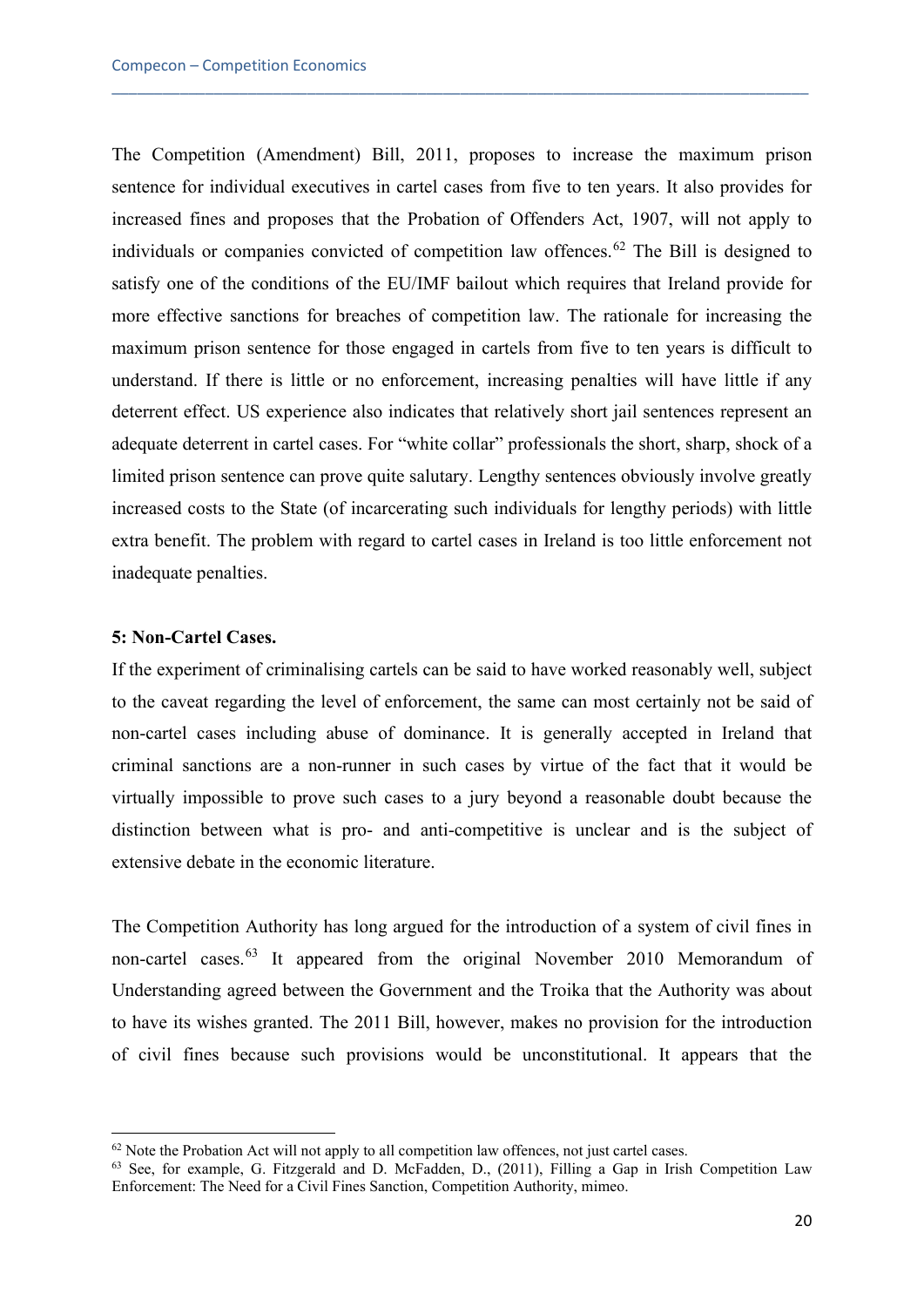The Competition (Amendment) Bill, 2011, proposes to increase the maximum prison sentence for individual executives in cartel cases from five to ten years. It also provides for increased fines and proposes that the Probation of Offenders Act, 1907, will not apply to individuals or companies convicted of competition law offences.[62](#page-19-0) The Bill is designed to satisfy one of the conditions of the EU/IMF bailout which requires that Ireland provide for more effective sanctions for breaches of competition law. The rationale for increasing the maximum prison sentence for those engaged in cartels from five to ten years is difficult to understand. If there is little or no enforcement, increasing penalties will have little if any deterrent effect. US experience also indicates that relatively short jail sentences represent an adequate deterrent in cartel cases. For "white collar" professionals the short, sharp, shock of a limited prison sentence can prove quite salutary. Lengthy sentences obviously involve greatly increased costs to the State (of incarcerating such individuals for lengthy periods) with little extra benefit. The problem with regard to cartel cases in Ireland is too little enforcement not inadequate penalties.

\_\_\_\_\_\_\_\_\_\_\_\_\_\_\_\_\_\_\_\_\_\_\_\_\_\_\_\_\_\_\_\_\_\_\_\_\_\_\_\_\_\_\_\_\_\_\_\_\_\_\_\_\_\_\_\_\_\_\_\_\_\_\_\_\_\_\_\_\_\_\_\_\_\_\_\_\_\_\_\_\_\_

#### **5: Non-Cartel Cases.**

If the experiment of criminalising cartels can be said to have worked reasonably well, subject to the caveat regarding the level of enforcement, the same can most certainly not be said of non-cartel cases including abuse of dominance. It is generally accepted in Ireland that criminal sanctions are a non-runner in such cases by virtue of the fact that it would be virtually impossible to prove such cases to a jury beyond a reasonable doubt because the distinction between what is pro- and anti-competitive is unclear and is the subject of extensive debate in the economic literature.

The Competition Authority has long argued for the introduction of a system of civil fines in non-cartel cases.<sup>[63](#page-19-1)</sup> It appeared from the original November 2010 Memorandum of Understanding agreed between the Government and the Troika that the Authority was about to have its wishes granted. The 2011 Bill, however, makes no provision for the introduction of civil fines because such provisions would be unconstitutional. It appears that the

<span id="page-19-0"></span> $62$  Note the Probation Act will not apply to all competition law offences, not just cartel cases.

<span id="page-19-1"></span><sup>&</sup>lt;sup>63</sup> See, for example, G. Fitzgerald and D. McFadden, D., (2011), Filling a Gap in Irish Competition Law Enforcement: The Need for a Civil Fines Sanction, Competition Authority, mimeo.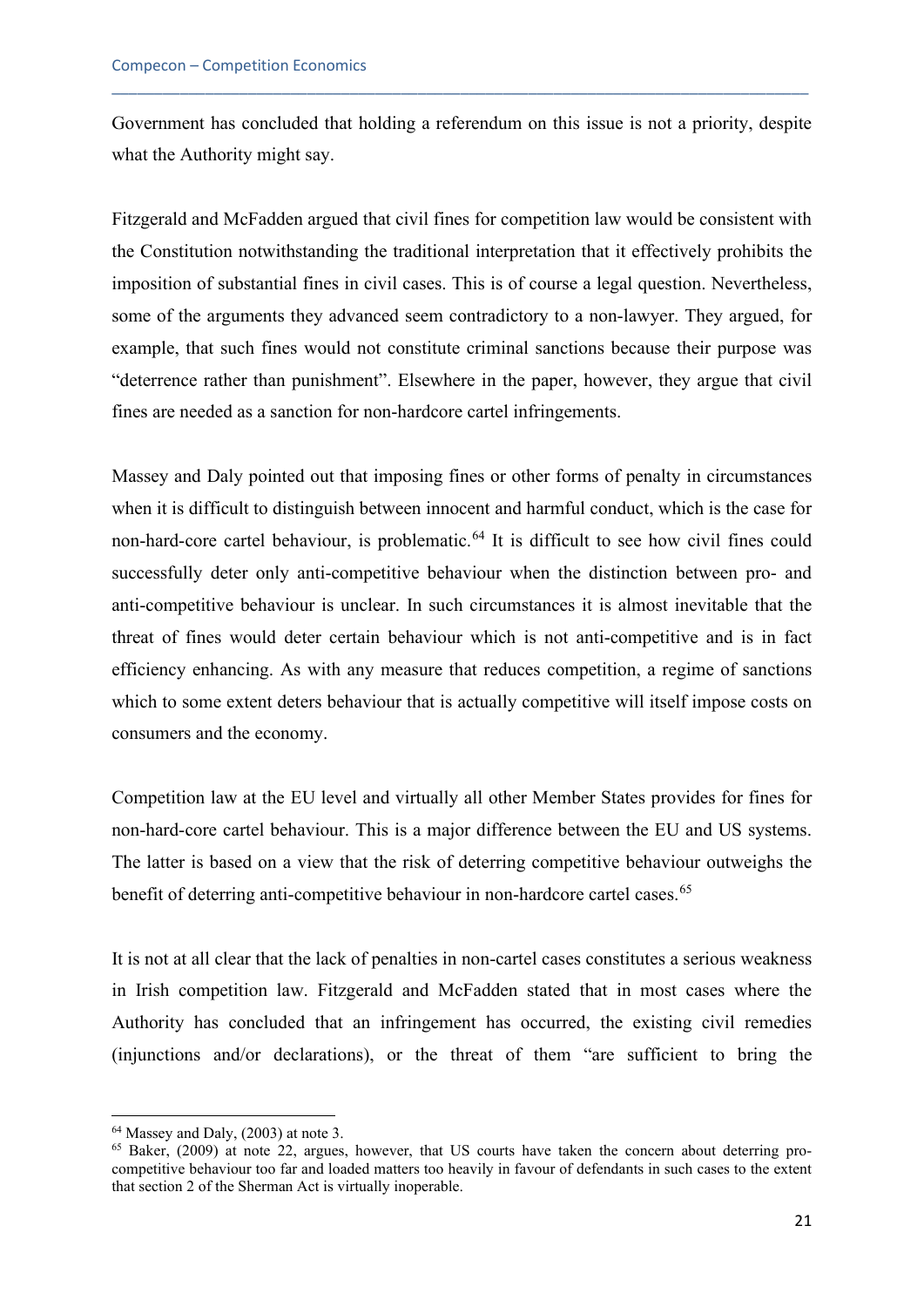Government has concluded that holding a referendum on this issue is not a priority, despite what the Authority might say.

\_\_\_\_\_\_\_\_\_\_\_\_\_\_\_\_\_\_\_\_\_\_\_\_\_\_\_\_\_\_\_\_\_\_\_\_\_\_\_\_\_\_\_\_\_\_\_\_\_\_\_\_\_\_\_\_\_\_\_\_\_\_\_\_\_\_\_\_\_\_\_\_\_\_\_\_\_\_\_\_\_\_

Fitzgerald and McFadden argued that civil fines for competition law would be consistent with the Constitution notwithstanding the traditional interpretation that it effectively prohibits the imposition of substantial fines in civil cases. This is of course a legal question. Nevertheless, some of the arguments they advanced seem contradictory to a non-lawyer. They argued, for example, that such fines would not constitute criminal sanctions because their purpose was "deterrence rather than punishment". Elsewhere in the paper, however, they argue that civil fines are needed as a sanction for non-hardcore cartel infringements.

Massey and Daly pointed out that imposing fines or other forms of penalty in circumstances when it is difficult to distinguish between innocent and harmful conduct, which is the case for non-hard-core cartel behaviour, is problematic.<sup>[64](#page-20-0)</sup> It is difficult to see how civil fines could successfully deter only anti-competitive behaviour when the distinction between pro- and anti-competitive behaviour is unclear. In such circumstances it is almost inevitable that the threat of fines would deter certain behaviour which is not anti-competitive and is in fact efficiency enhancing. As with any measure that reduces competition, a regime of sanctions which to some extent deters behaviour that is actually competitive will itself impose costs on consumers and the economy.

Competition law at the EU level and virtually all other Member States provides for fines for non-hard-core cartel behaviour. This is a major difference between the EU and US systems. The latter is based on a view that the risk of deterring competitive behaviour outweighs the benefit of deterring anti-competitive behaviour in non-hardcore cartel cases.<sup>[65](#page-20-1)</sup>

It is not at all clear that the lack of penalties in non-cartel cases constitutes a serious weakness in Irish competition law. Fitzgerald and McFadden stated that in most cases where the Authority has concluded that an infringement has occurred, the existing civil remedies (injunctions and/or declarations), or the threat of them "are sufficient to bring the

<span id="page-20-0"></span><sup>64</sup> Massey and Daly, (2003) at note 3.

<span id="page-20-1"></span><sup>65</sup> Baker, (2009) at note 22, argues, however, that US courts have taken the concern about deterring procompetitive behaviour too far and loaded matters too heavily in favour of defendants in such cases to the extent that section 2 of the Sherman Act is virtually inoperable.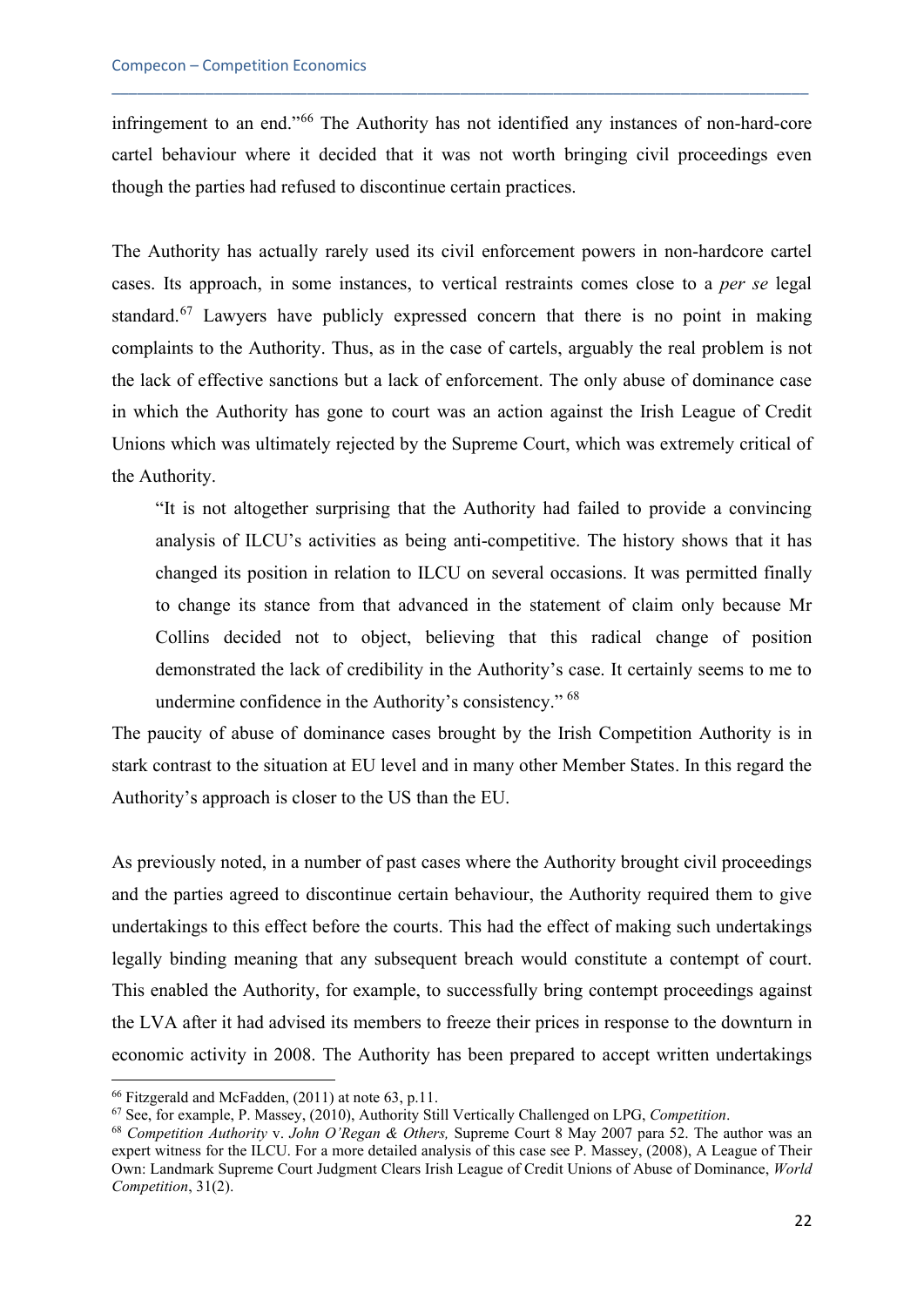infringement to an end."[66](#page-21-0) The Authority has not identified any instances of non-hard-core cartel behaviour where it decided that it was not worth bringing civil proceedings even though the parties had refused to discontinue certain practices.

\_\_\_\_\_\_\_\_\_\_\_\_\_\_\_\_\_\_\_\_\_\_\_\_\_\_\_\_\_\_\_\_\_\_\_\_\_\_\_\_\_\_\_\_\_\_\_\_\_\_\_\_\_\_\_\_\_\_\_\_\_\_\_\_\_\_\_\_\_\_\_\_\_\_\_\_\_\_\_\_\_\_

The Authority has actually rarely used its civil enforcement powers in non-hardcore cartel cases. Its approach, in some instances, to vertical restraints comes close to a *per se* legal standard.[67](#page-21-1) Lawyers have publicly expressed concern that there is no point in making complaints to the Authority. Thus, as in the case of cartels, arguably the real problem is not the lack of effective sanctions but a lack of enforcement. The only abuse of dominance case in which the Authority has gone to court was an action against the Irish League of Credit Unions which was ultimately rejected by the Supreme Court, which was extremely critical of the Authority.

"It is not altogether surprising that the Authority had failed to provide a convincing analysis of ILCU's activities as being anti-competitive. The history shows that it has changed its position in relation to ILCU on several occasions. It was permitted finally to change its stance from that advanced in the statement of claim only because Mr Collins decided not to object, believing that this radical change of position demonstrated the lack of credibility in the Authority's case. It certainly seems to me to undermine confidence in the Authority's consistency." [68](#page-21-2)

The paucity of abuse of dominance cases brought by the Irish Competition Authority is in stark contrast to the situation at EU level and in many other Member States. In this regard the Authority's approach is closer to the US than the EU.

As previously noted, in a number of past cases where the Authority brought civil proceedings and the parties agreed to discontinue certain behaviour, the Authority required them to give undertakings to this effect before the courts. This had the effect of making such undertakings legally binding meaning that any subsequent breach would constitute a contempt of court. This enabled the Authority, for example, to successfully bring contempt proceedings against the LVA after it had advised its members to freeze their prices in response to the downturn in economic activity in 2008. The Authority has been prepared to accept written undertakings

<span id="page-21-0"></span> $66$  Fitzgerald and McFadden,  $(2011)$  at note 63, p.11.

<span id="page-21-1"></span><sup>67</sup> See, for example, P. Massey, (2010), Authority Still Vertically Challenged on LPG, *Competition*.

<span id="page-21-2"></span><sup>68</sup> *Competition Authority* v. *John O'Regan & Others,* Supreme Court 8 May 2007 para 52. The author was an expert witness for the ILCU. For a more detailed analysis of this case see P. Massey, (2008), A League of Their Own: Landmark Supreme Court Judgment Clears Irish League of Credit Unions of Abuse of Dominance, *World Competition*, 31(2).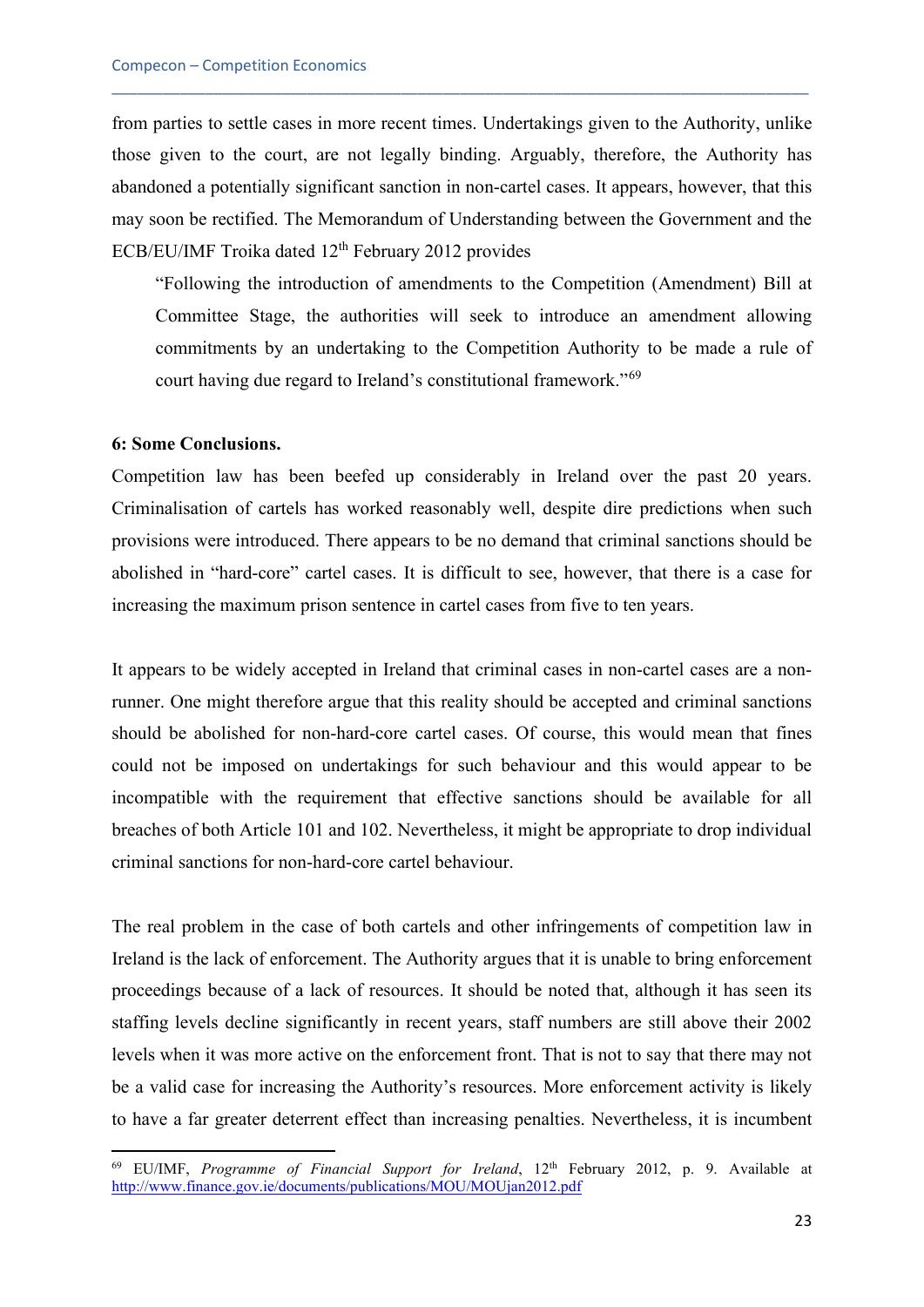from parties to settle cases in more recent times. Undertakings given to the Authority, unlike those given to the court, are not legally binding. Arguably, therefore, the Authority has abandoned a potentially significant sanction in non-cartel cases. It appears, however, that this may soon be rectified. The Memorandum of Understanding between the Government and the ECB/EU/IMF Troika dated 12<sup>th</sup> February 2012 provides

\_\_\_\_\_\_\_\_\_\_\_\_\_\_\_\_\_\_\_\_\_\_\_\_\_\_\_\_\_\_\_\_\_\_\_\_\_\_\_\_\_\_\_\_\_\_\_\_\_\_\_\_\_\_\_\_\_\_\_\_\_\_\_\_\_\_\_\_\_\_\_\_\_\_\_\_\_\_\_\_\_\_

"Following the introduction of amendments to the Competition (Amendment) Bill at Committee Stage, the authorities will seek to introduce an amendment allowing commitments by an undertaking to the Competition Authority to be made a rule of court having due regard to Ireland's constitutional framework."[69](#page-22-0) 

### **6: Some Conclusions.**

Competition law has been beefed up considerably in Ireland over the past 20 years. Criminalisation of cartels has worked reasonably well, despite dire predictions when such provisions were introduced. There appears to be no demand that criminal sanctions should be abolished in "hard-core" cartel cases. It is difficult to see, however, that there is a case for increasing the maximum prison sentence in cartel cases from five to ten years.

It appears to be widely accepted in Ireland that criminal cases in non-cartel cases are a nonrunner. One might therefore argue that this reality should be accepted and criminal sanctions should be abolished for non-hard-core cartel cases. Of course, this would mean that fines could not be imposed on undertakings for such behaviour and this would appear to be incompatible with the requirement that effective sanctions should be available for all breaches of both Article 101 and 102. Nevertheless, it might be appropriate to drop individual criminal sanctions for non-hard-core cartel behaviour.

The real problem in the case of both cartels and other infringements of competition law in Ireland is the lack of enforcement. The Authority argues that it is unable to bring enforcement proceedings because of a lack of resources. It should be noted that, although it has seen its staffing levels decline significantly in recent years, staff numbers are still above their 2002 levels when it was more active on the enforcement front. That is not to say that there may not be a valid case for increasing the Authority's resources. More enforcement activity is likely to have a far greater deterrent effect than increasing penalties. Nevertheless, it is incumbent

<span id="page-22-0"></span><sup>&</sup>lt;sup>69</sup> EU/IMF, Programme of Financial Support for Ireland, 12<sup>th</sup> February 2012, p. 9. Available at http://www.finance.gov.ie/documents/publications/MOU/MOUjan2012.ndf